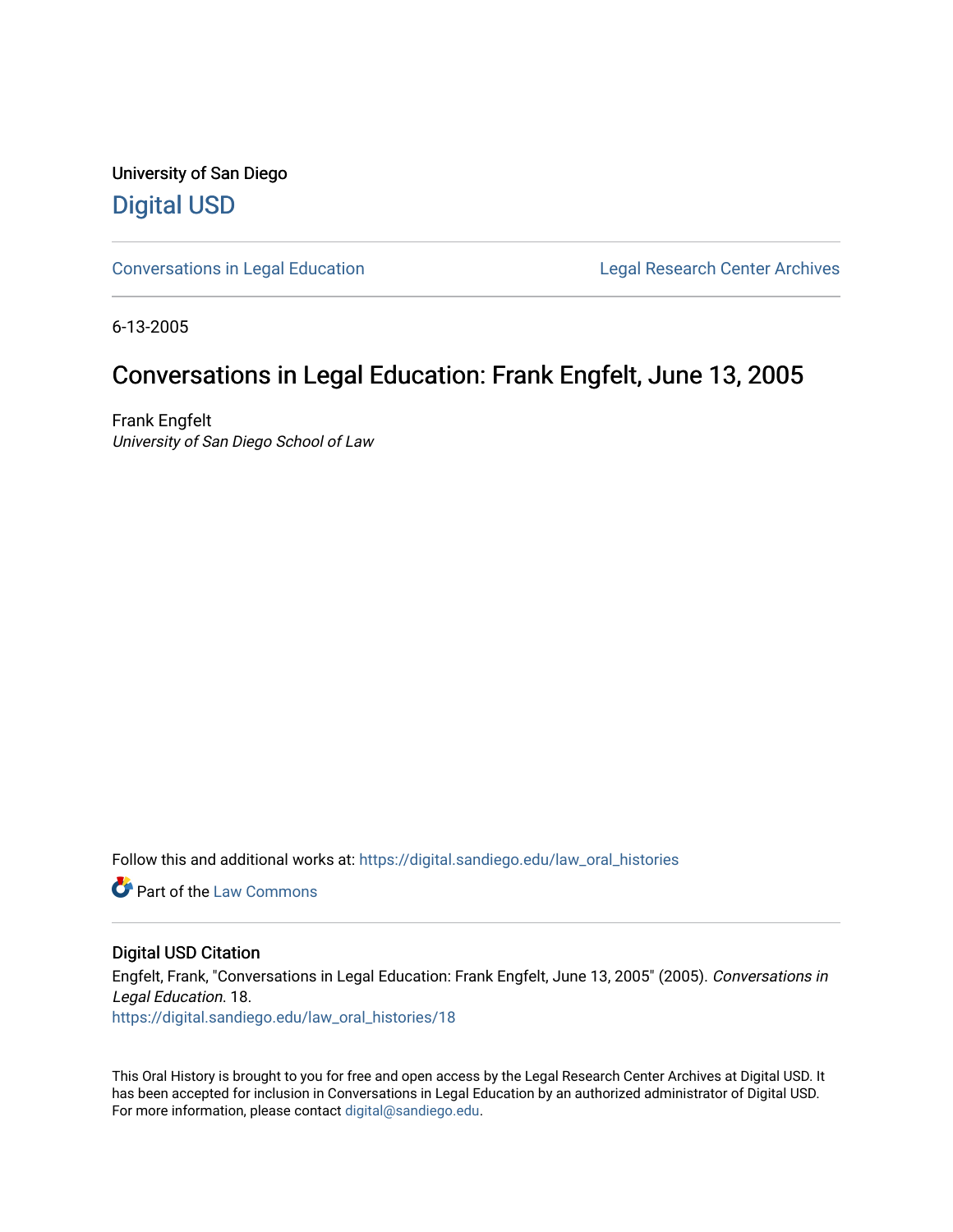University of San Diego [Digital USD](https://digital.sandiego.edu/)

[Conversations in Legal Education](https://digital.sandiego.edu/law_oral_histories) **Legal Research Center Archives** 

6-13-2005

## Conversations in Legal Education: Frank Engfelt, June 13, 2005

Frank Engfelt University of San Diego School of Law

Follow this and additional works at: [https://digital.sandiego.edu/law\\_oral\\_histories](https://digital.sandiego.edu/law_oral_histories?utm_source=digital.sandiego.edu%2Flaw_oral_histories%2F18&utm_medium=PDF&utm_campaign=PDFCoverPages) 

**C** Part of the [Law Commons](http://network.bepress.com/hgg/discipline/578?utm_source=digital.sandiego.edu%2Flaw_oral_histories%2F18&utm_medium=PDF&utm_campaign=PDFCoverPages)

#### Digital USD Citation

Engfelt, Frank, "Conversations in Legal Education: Frank Engfelt, June 13, 2005" (2005). Conversations in Legal Education. 18. [https://digital.sandiego.edu/law\\_oral\\_histories/18](https://digital.sandiego.edu/law_oral_histories/18?utm_source=digital.sandiego.edu%2Flaw_oral_histories%2F18&utm_medium=PDF&utm_campaign=PDFCoverPages) 

This Oral History is brought to you for free and open access by the Legal Research Center Archives at Digital USD. It has been accepted for inclusion in Conversations in Legal Education by an authorized administrator of Digital USD. For more information, please contact [digital@sandiego.edu](mailto:digital@sandiego.edu).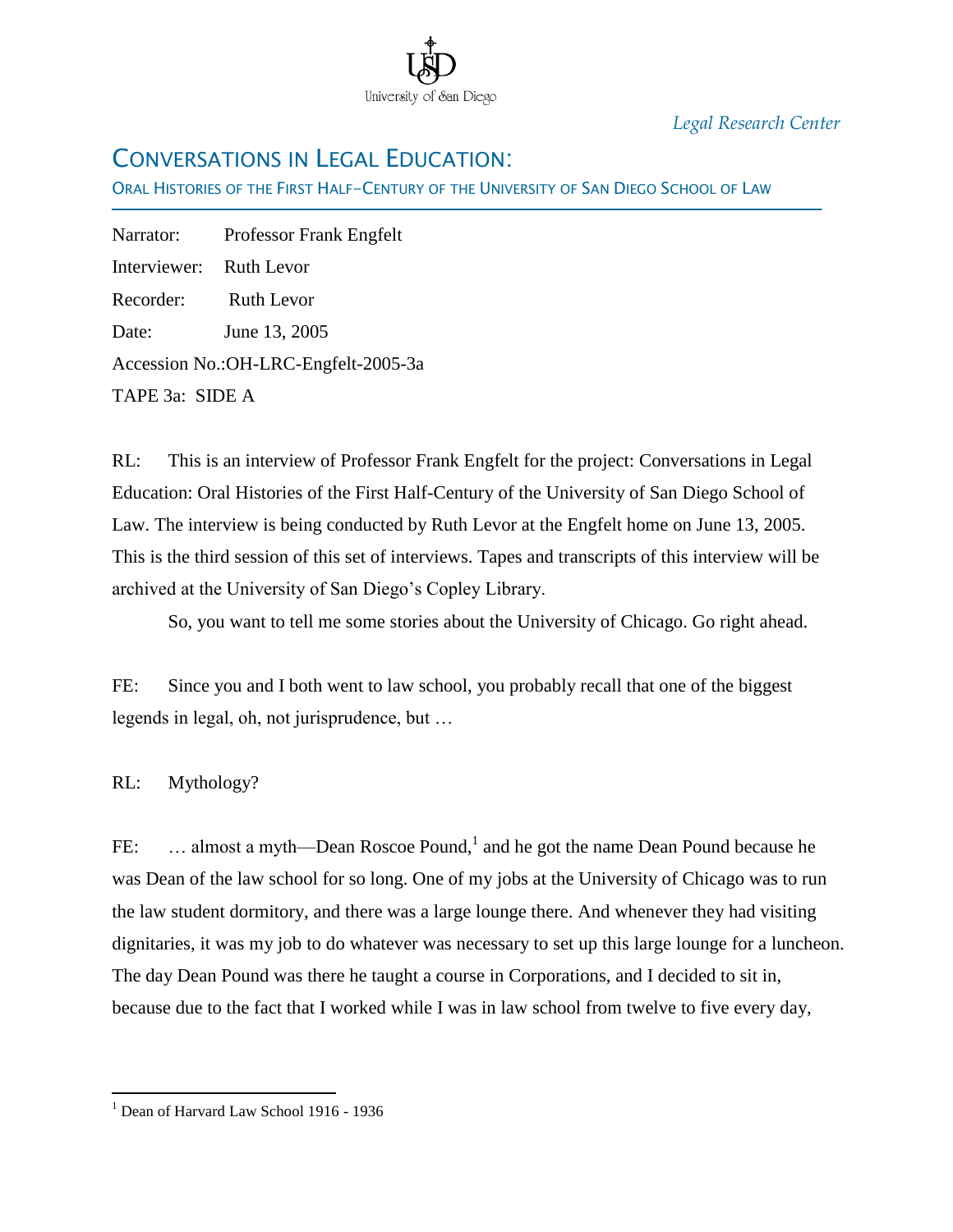

*Legal Research Center*

# CONVERSATIONS IN LEGAL EDUCATION:

ORAL HISTORIES OF THE FIRST HALF-CENTURY OF THE UNIVERSITY OF SAN DIEGO SCHOOL OF LAW

Narrator: Professor Frank Engfelt Interviewer: Ruth Levor Recorder: Ruth Levor Date: June 13, 2005 Accession No.:OH-LRC-Engfelt-2005-3a TAPE 3a: SIDE A

Ī

RL: This is an interview of Professor Frank Engfelt for the project: Conversations in Legal Education: Oral Histories of the First Half-Century of the University of San Diego School of Law. The interview is being conducted by Ruth Levor at the Engfelt home on June 13, 2005. This is the third session of this set of interviews. Tapes and transcripts of this interview will be archived at the University of San Diego's Copley Library.

So, you want to tell me some stories about the University of Chicago. Go right ahead.

FE: Since you and I both went to law school, you probably recall that one of the biggest legends in legal, oh, not jurisprudence, but …

RL: Mythology?

 $\overline{a}$ 

FE: ... almost a myth—Dean Roscoe Pound,<sup>1</sup> and he got the name Dean Pound because he was Dean of the law school for so long. One of my jobs at the University of Chicago was to run the law student dormitory, and there was a large lounge there. And whenever they had visiting dignitaries, it was my job to do whatever was necessary to set up this large lounge for a luncheon. The day Dean Pound was there he taught a course in Corporations, and I decided to sit in, because due to the fact that I worked while I was in law school from twelve to five every day,

<sup>&</sup>lt;sup>1</sup> Dean of Harvard Law School 1916 - 1936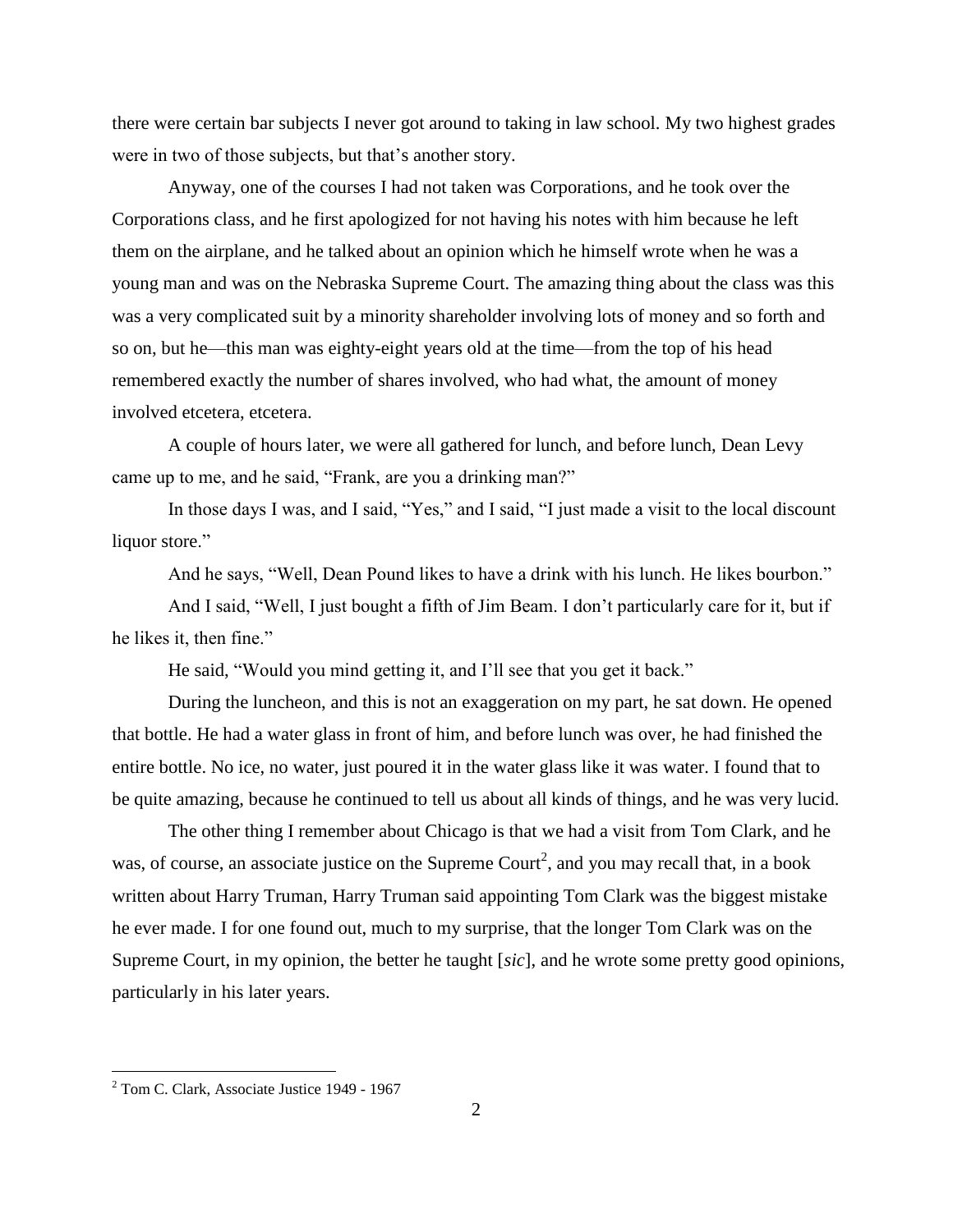there were certain bar subjects I never got around to taking in law school. My two highest grades were in two of those subjects, but that's another story.

Anyway, one of the courses I had not taken was Corporations, and he took over the Corporations class, and he first apologized for not having his notes with him because he left them on the airplane, and he talked about an opinion which he himself wrote when he was a young man and was on the Nebraska Supreme Court. The amazing thing about the class was this was a very complicated suit by a minority shareholder involving lots of money and so forth and so on, but he—this man was eighty-eight years old at the time—from the top of his head remembered exactly the number of shares involved, who had what, the amount of money involved etcetera, etcetera.

A couple of hours later, we were all gathered for lunch, and before lunch, Dean Levy came up to me, and he said, "Frank, are you a drinking man?"

In those days I was, and I said, "Yes," and I said, "I just made a visit to the local discount liquor store."

And he says, "Well, Dean Pound likes to have a drink with his lunch. He likes bourbon."

And I said, "Well, I just bought a fifth of Jim Beam. I don't particularly care for it, but if he likes it, then fine."

He said, "Would you mind getting it, and I'll see that you get it back."

During the luncheon, and this is not an exaggeration on my part, he sat down. He opened that bottle. He had a water glass in front of him, and before lunch was over, he had finished the entire bottle. No ice, no water, just poured it in the water glass like it was water. I found that to be quite amazing, because he continued to tell us about all kinds of things, and he was very lucid.

The other thing I remember about Chicago is that we had a visit from Tom Clark, and he was, of course, an associate justice on the Supreme Court<sup>2</sup>, and you may recall that, in a book written about Harry Truman, Harry Truman said appointing Tom Clark was the biggest mistake he ever made. I for one found out, much to my surprise, that the longer Tom Clark was on the Supreme Court, in my opinion, the better he taught [*sic*], and he wrote some pretty good opinions, particularly in his later years.

 $\overline{a}$ 

 $2$  Tom C. Clark, Associate Justice 1949 - 1967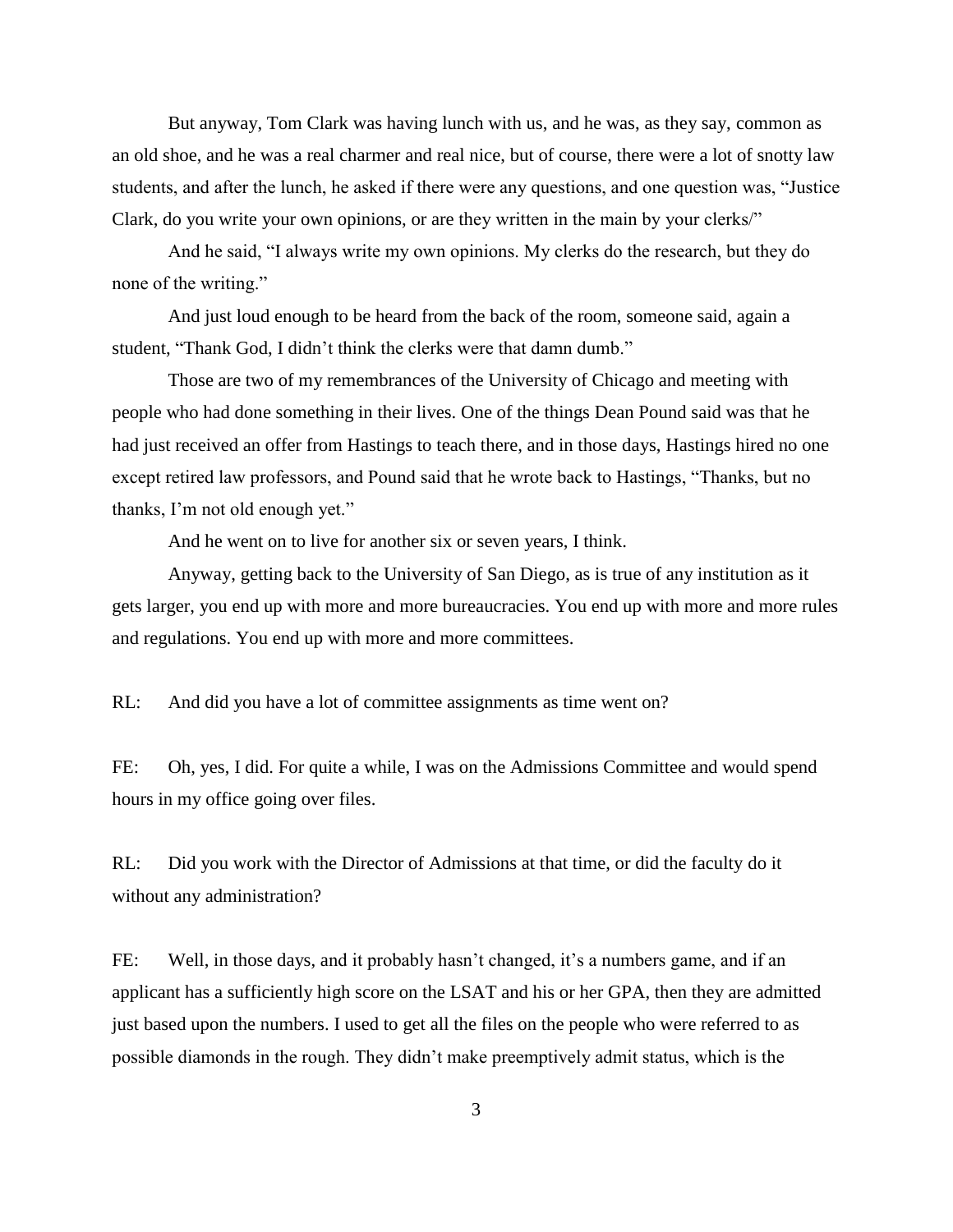But anyway, Tom Clark was having lunch with us, and he was, as they say, common as an old shoe, and he was a real charmer and real nice, but of course, there were a lot of snotty law students, and after the lunch, he asked if there were any questions, and one question was, "Justice Clark, do you write your own opinions, or are they written in the main by your clerks/"

And he said, "I always write my own opinions. My clerks do the research, but they do none of the writing."

And just loud enough to be heard from the back of the room, someone said, again a student, "Thank God, I didn't think the clerks were that damn dumb."

Those are two of my remembrances of the University of Chicago and meeting with people who had done something in their lives. One of the things Dean Pound said was that he had just received an offer from Hastings to teach there, and in those days, Hastings hired no one except retired law professors, and Pound said that he wrote back to Hastings, "Thanks, but no thanks, I'm not old enough yet."

And he went on to live for another six or seven years, I think.

Anyway, getting back to the University of San Diego, as is true of any institution as it gets larger, you end up with more and more bureaucracies. You end up with more and more rules and regulations. You end up with more and more committees.

RL: And did you have a lot of committee assignments as time went on?

FE: Oh, yes, I did. For quite a while, I was on the Admissions Committee and would spend hours in my office going over files.

RL: Did you work with the Director of Admissions at that time, or did the faculty do it without any administration?

FE: Well, in those days, and it probably hasn't changed, it's a numbers game, and if an applicant has a sufficiently high score on the LSAT and his or her GPA, then they are admitted just based upon the numbers. I used to get all the files on the people who were referred to as possible diamonds in the rough. They didn't make preemptively admit status, which is the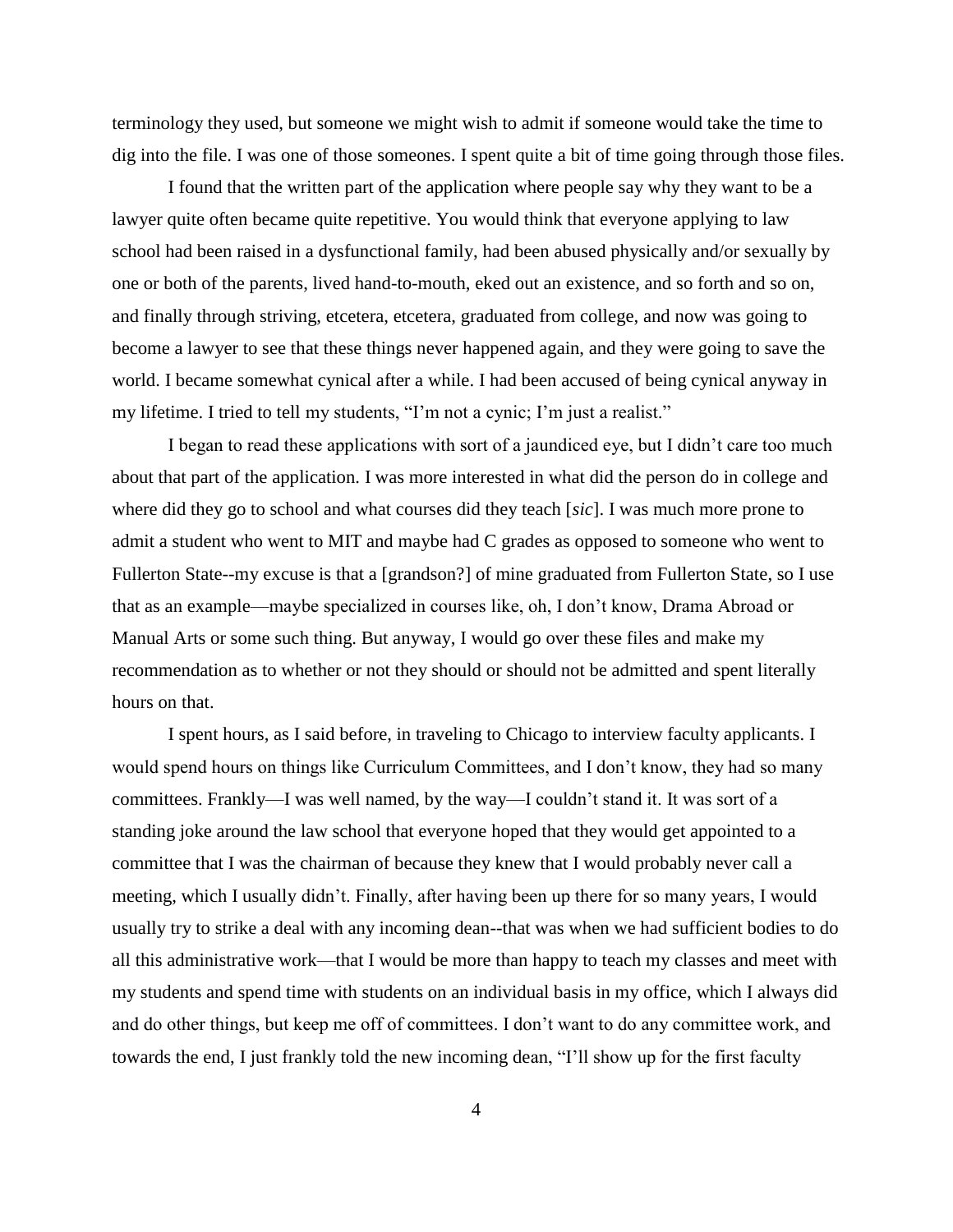terminology they used, but someone we might wish to admit if someone would take the time to dig into the file. I was one of those someones. I spent quite a bit of time going through those files.

I found that the written part of the application where people say why they want to be a lawyer quite often became quite repetitive. You would think that everyone applying to law school had been raised in a dysfunctional family, had been abused physically and/or sexually by one or both of the parents, lived hand-to-mouth, eked out an existence, and so forth and so on, and finally through striving, etcetera, etcetera, graduated from college, and now was going to become a lawyer to see that these things never happened again, and they were going to save the world. I became somewhat cynical after a while. I had been accused of being cynical anyway in my lifetime. I tried to tell my students, "I'm not a cynic; I'm just a realist."

I began to read these applications with sort of a jaundiced eye, but I didn't care too much about that part of the application. I was more interested in what did the person do in college and where did they go to school and what courses did they teach [*sic*]. I was much more prone to admit a student who went to MIT and maybe had C grades as opposed to someone who went to Fullerton State--my excuse is that a [grandson?] of mine graduated from Fullerton State, so I use that as an example—maybe specialized in courses like, oh, I don't know, Drama Abroad or Manual Arts or some such thing. But anyway, I would go over these files and make my recommendation as to whether or not they should or should not be admitted and spent literally hours on that.

I spent hours, as I said before, in traveling to Chicago to interview faculty applicants. I would spend hours on things like Curriculum Committees, and I don't know, they had so many committees. Frankly—I was well named, by the way—I couldn't stand it. It was sort of a standing joke around the law school that everyone hoped that they would get appointed to a committee that I was the chairman of because they knew that I would probably never call a meeting, which I usually didn't. Finally, after having been up there for so many years, I would usually try to strike a deal with any incoming dean--that was when we had sufficient bodies to do all this administrative work—that I would be more than happy to teach my classes and meet with my students and spend time with students on an individual basis in my office, which I always did and do other things, but keep me off of committees. I don't want to do any committee work, and towards the end, I just frankly told the new incoming dean, "I'll show up for the first faculty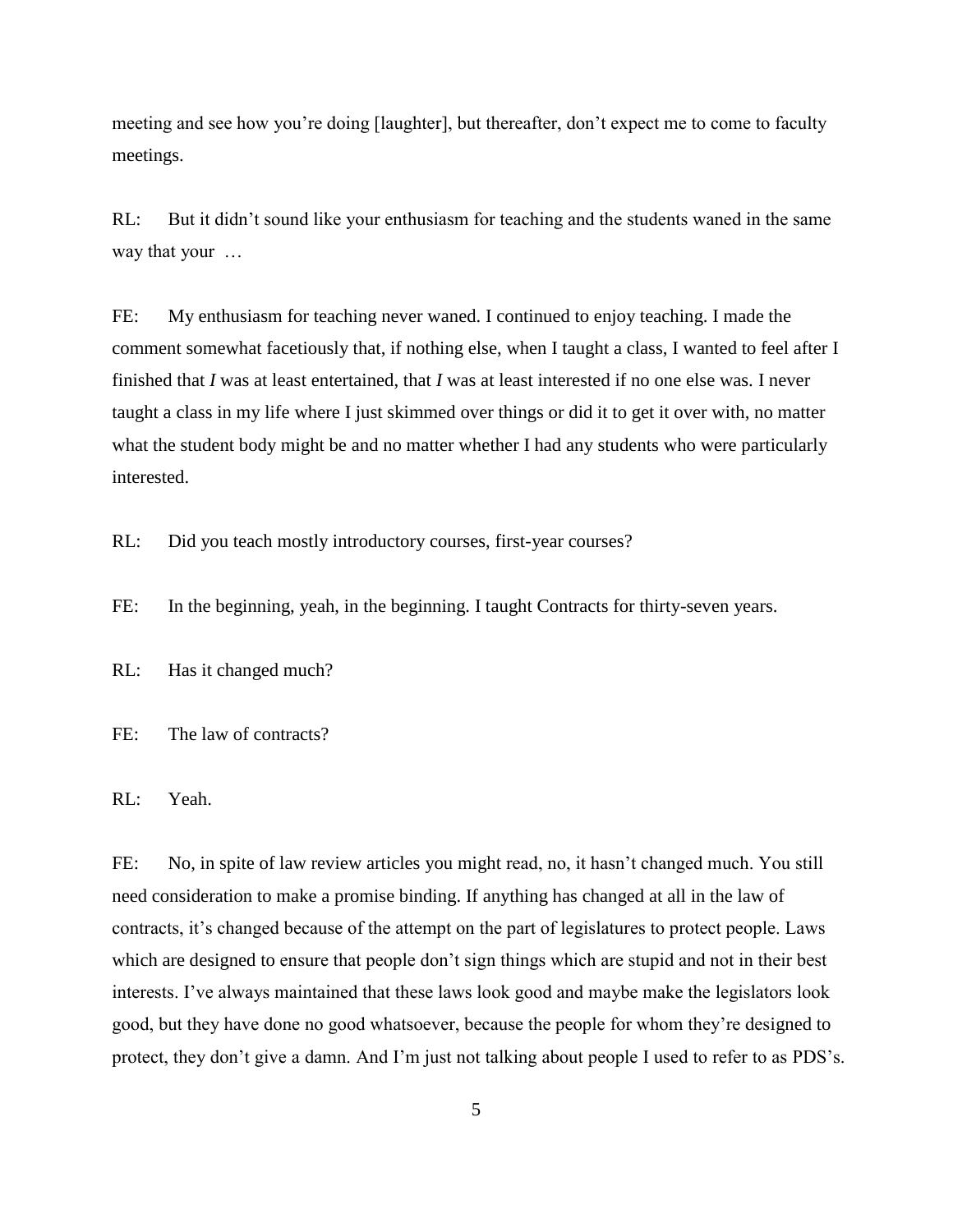meeting and see how you're doing [laughter], but thereafter, don't expect me to come to faculty meetings.

RL: But it didn't sound like your enthusiasm for teaching and the students waned in the same way that your …

FE: My enthusiasm for teaching never waned. I continued to enjoy teaching. I made the comment somewhat facetiously that, if nothing else, when I taught a class, I wanted to feel after I finished that *I* was at least entertained, that *I* was at least interested if no one else was. I never taught a class in my life where I just skimmed over things or did it to get it over with, no matter what the student body might be and no matter whether I had any students who were particularly interested.

RL: Did you teach mostly introductory courses, first-year courses?

FE: In the beginning, yeah, in the beginning. I taught Contracts for thirty-seven years.

RL: Has it changed much?

FE: The law of contracts?

RL: Yeah.

FE: No, in spite of law review articles you might read, no, it hasn't changed much. You still need consideration to make a promise binding. If anything has changed at all in the law of contracts, it's changed because of the attempt on the part of legislatures to protect people. Laws which are designed to ensure that people don't sign things which are stupid and not in their best interests. I've always maintained that these laws look good and maybe make the legislators look good, but they have done no good whatsoever, because the people for whom they're designed to protect, they don't give a damn. And I'm just not talking about people I used to refer to as PDS's.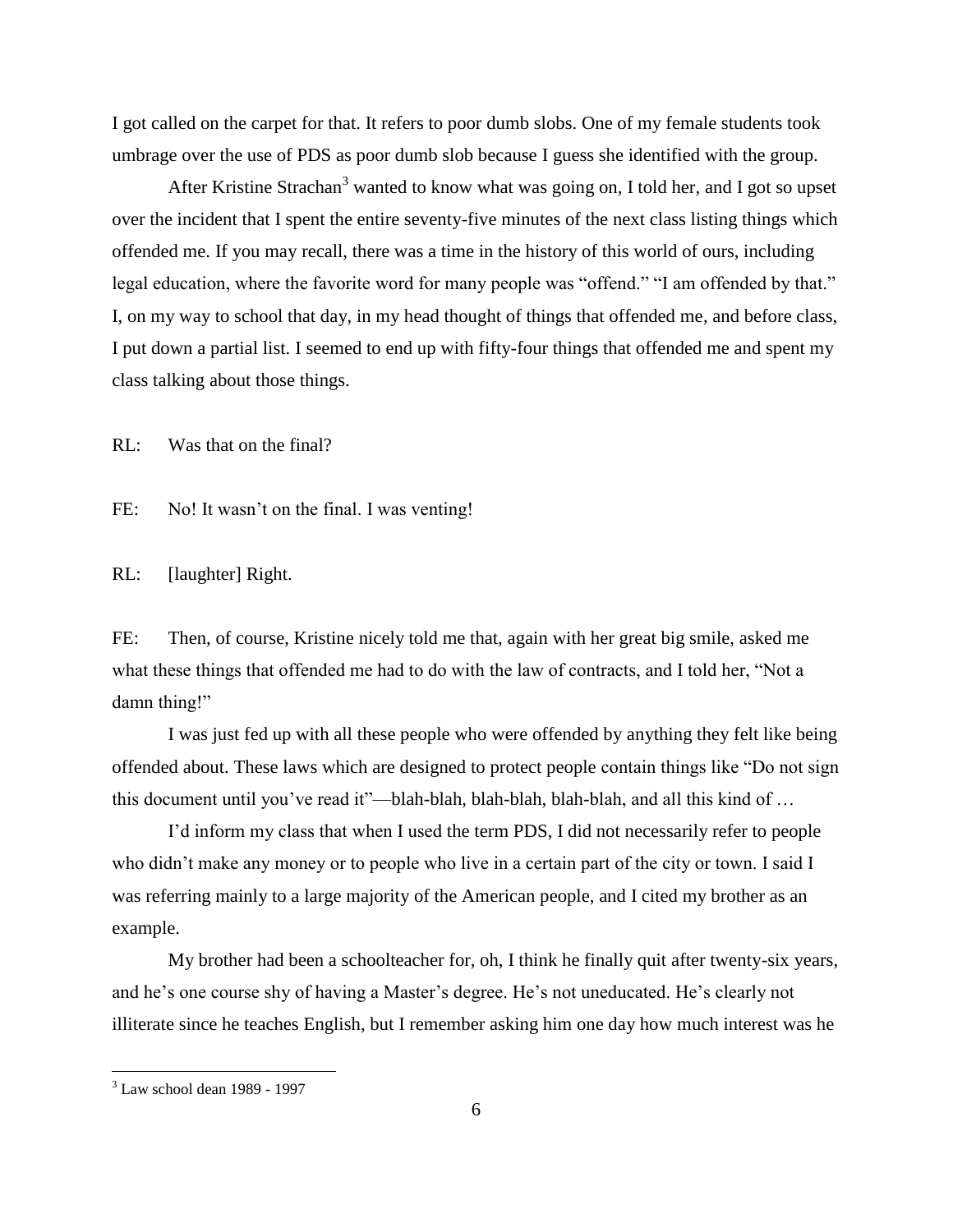I got called on the carpet for that. It refers to poor dumb slobs. One of my female students took umbrage over the use of PDS as poor dumb slob because I guess she identified with the group.

After Kristine Strachan<sup>3</sup> wanted to know what was going on, I told her, and I got so upset over the incident that I spent the entire seventy-five minutes of the next class listing things which offended me. If you may recall, there was a time in the history of this world of ours, including legal education, where the favorite word for many people was "offend." "I am offended by that." I, on my way to school that day, in my head thought of things that offended me, and before class, I put down a partial list. I seemed to end up with fifty-four things that offended me and spent my class talking about those things.

RL: Was that on the final?

FE: No! It wasn't on the final. I was venting!

RL: [laughter] Right.

FE: Then, of course, Kristine nicely told me that, again with her great big smile, asked me what these things that offended me had to do with the law of contracts, and I told her, "Not a damn thing!"

I was just fed up with all these people who were offended by anything they felt like being offended about. These laws which are designed to protect people contain things like "Do not sign this document until you've read it"—blah-blah, blah-blah, blah-blah, and all this kind of …

I'd inform my class that when I used the term PDS, I did not necessarily refer to people who didn't make any money or to people who live in a certain part of the city or town. I said I was referring mainly to a large majority of the American people, and I cited my brother as an example.

My brother had been a schoolteacher for, oh, I think he finally quit after twenty-six years, and he's one course shy of having a Master's degree. He's not uneducated. He's clearly not illiterate since he teaches English, but I remember asking him one day how much interest was he

 $\overline{a}$ 

 $3$  Law school dean 1989 - 1997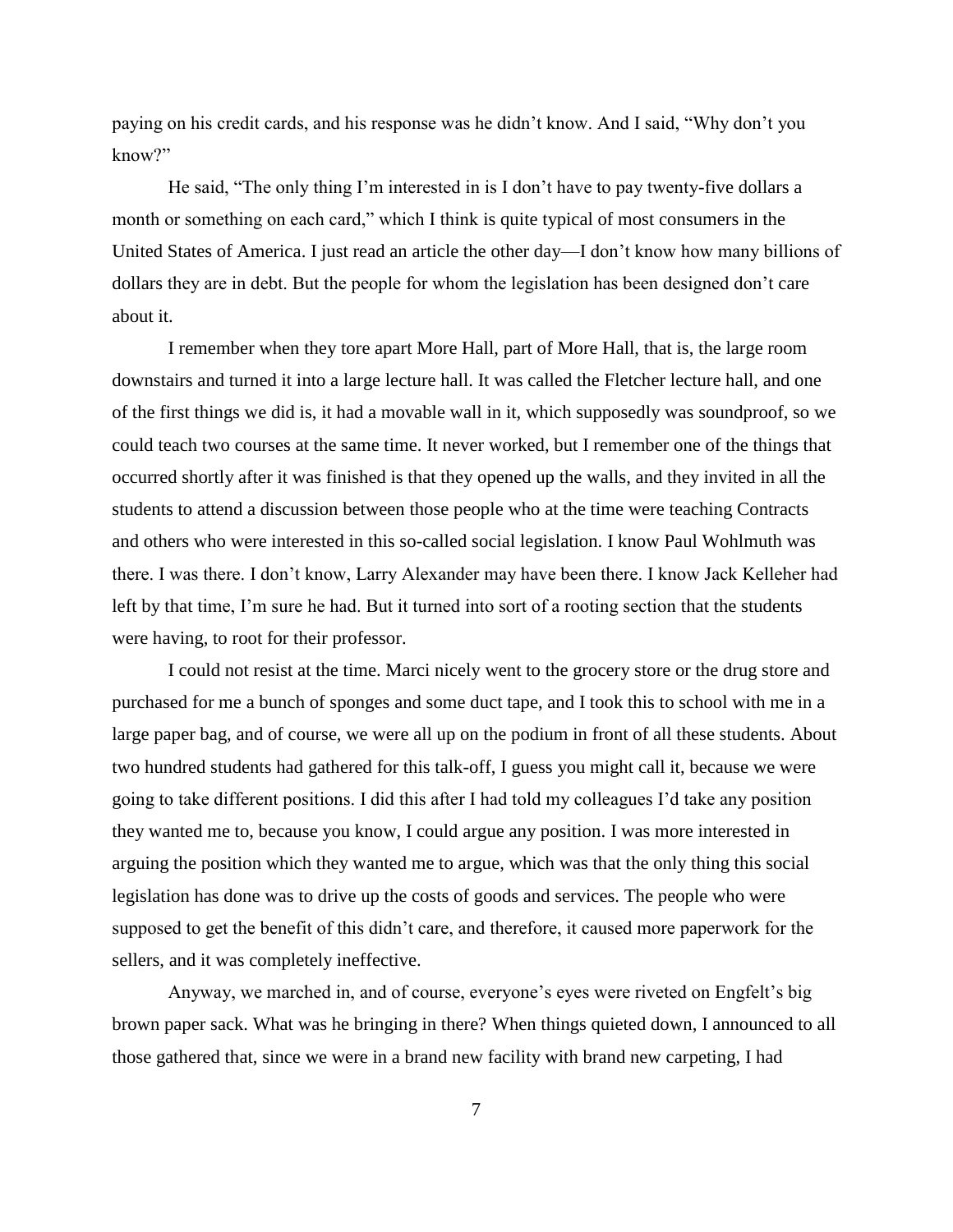paying on his credit cards, and his response was he didn't know. And I said, "Why don't you know?"

He said, "The only thing I'm interested in is I don't have to pay twenty-five dollars a month or something on each card," which I think is quite typical of most consumers in the United States of America. I just read an article the other day—I don't know how many billions of dollars they are in debt. But the people for whom the legislation has been designed don't care about it.

I remember when they tore apart More Hall, part of More Hall, that is, the large room downstairs and turned it into a large lecture hall. It was called the Fletcher lecture hall, and one of the first things we did is, it had a movable wall in it, which supposedly was soundproof, so we could teach two courses at the same time. It never worked, but I remember one of the things that occurred shortly after it was finished is that they opened up the walls, and they invited in all the students to attend a discussion between those people who at the time were teaching Contracts and others who were interested in this so-called social legislation. I know Paul Wohlmuth was there. I was there. I don't know, Larry Alexander may have been there. I know Jack Kelleher had left by that time, I'm sure he had. But it turned into sort of a rooting section that the students were having, to root for their professor.

I could not resist at the time. Marci nicely went to the grocery store or the drug store and purchased for me a bunch of sponges and some duct tape, and I took this to school with me in a large paper bag, and of course, we were all up on the podium in front of all these students. About two hundred students had gathered for this talk-off, I guess you might call it, because we were going to take different positions. I did this after I had told my colleagues I'd take any position they wanted me to, because you know, I could argue any position. I was more interested in arguing the position which they wanted me to argue, which was that the only thing this social legislation has done was to drive up the costs of goods and services. The people who were supposed to get the benefit of this didn't care, and therefore, it caused more paperwork for the sellers, and it was completely ineffective.

Anyway, we marched in, and of course, everyone's eyes were riveted on Engfelt's big brown paper sack. What was he bringing in there? When things quieted down, I announced to all those gathered that, since we were in a brand new facility with brand new carpeting, I had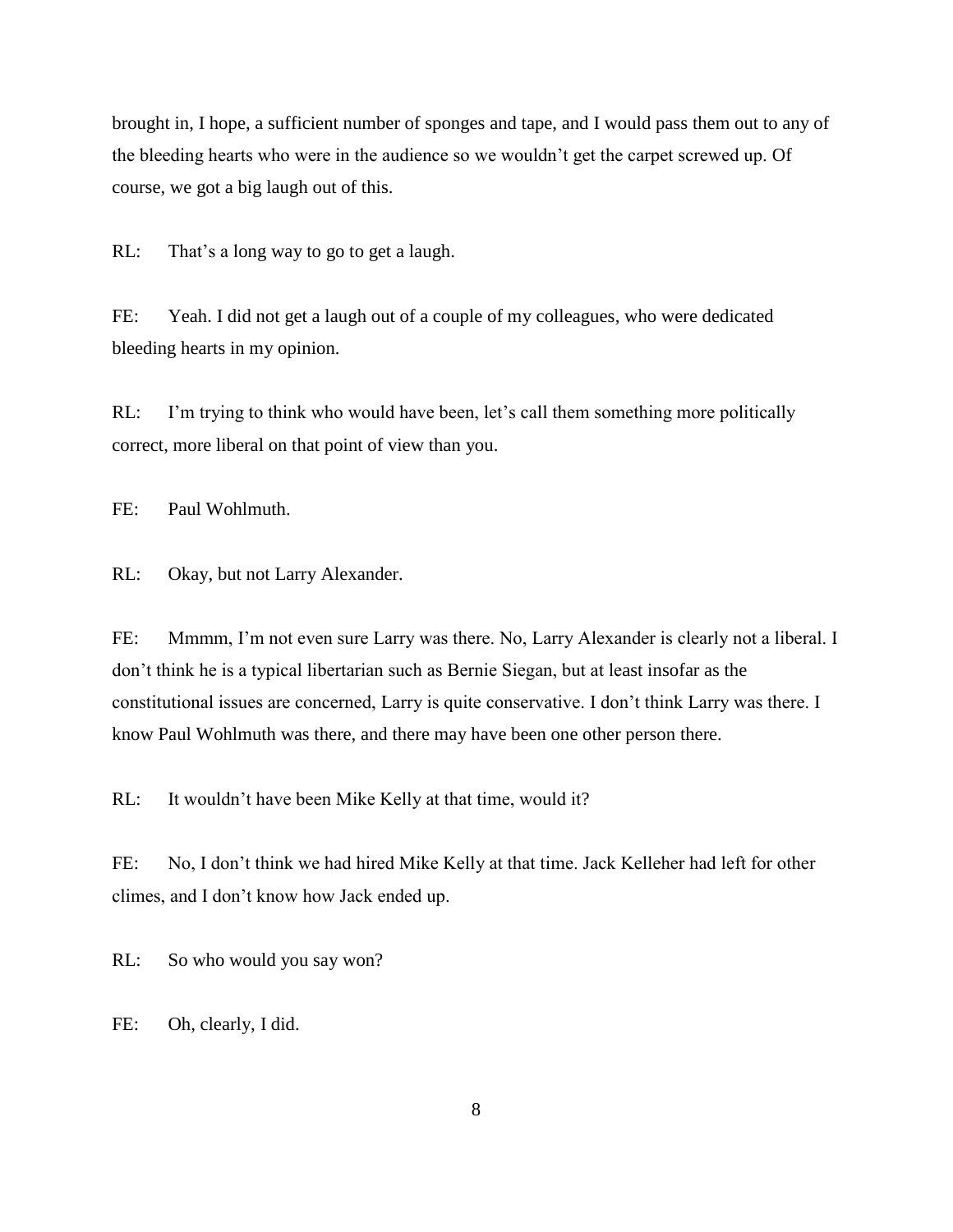brought in, I hope, a sufficient number of sponges and tape, and I would pass them out to any of the bleeding hearts who were in the audience so we wouldn't get the carpet screwed up. Of course, we got a big laugh out of this.

RL: That's a long way to go to get a laugh.

FE: Yeah. I did not get a laugh out of a couple of my colleagues, who were dedicated bleeding hearts in my opinion.

RL: I'm trying to think who would have been, let's call them something more politically correct, more liberal on that point of view than you.

FE: Paul Wohlmuth.

RL: Okay, but not Larry Alexander.

FE: Mmmm, I'm not even sure Larry was there. No, Larry Alexander is clearly not a liberal. I don't think he is a typical libertarian such as Bernie Siegan, but at least insofar as the constitutional issues are concerned, Larry is quite conservative. I don't think Larry was there. I know Paul Wohlmuth was there, and there may have been one other person there.

RL: It wouldn't have been Mike Kelly at that time, would it?

FE: No, I don't think we had hired Mike Kelly at that time. Jack Kelleher had left for other climes, and I don't know how Jack ended up.

RL: So who would you say won?

FE: Oh, clearly, I did.

8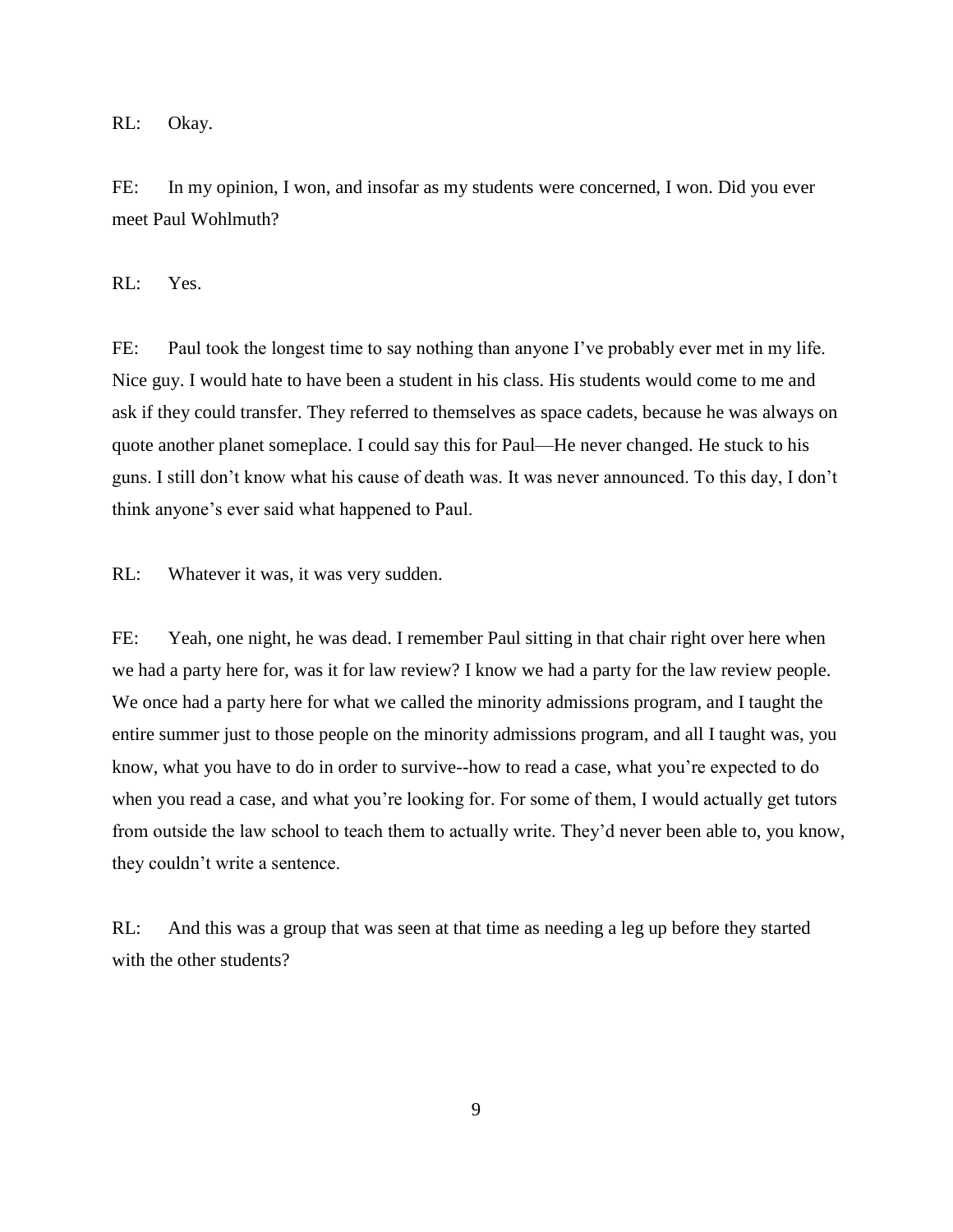RL: Okay.

FE: In my opinion, I won, and insofar as my students were concerned, I won. Did you ever meet Paul Wohlmuth?

RL: Yes.

FE: Paul took the longest time to say nothing than anyone I've probably ever met in my life. Nice guy. I would hate to have been a student in his class. His students would come to me and ask if they could transfer. They referred to themselves as space cadets, because he was always on quote another planet someplace. I could say this for Paul—He never changed. He stuck to his guns. I still don't know what his cause of death was. It was never announced. To this day, I don't think anyone's ever said what happened to Paul.

RL: Whatever it was, it was very sudden.

FE: Yeah, one night, he was dead. I remember Paul sitting in that chair right over here when we had a party here for, was it for law review? I know we had a party for the law review people. We once had a party here for what we called the minority admissions program, and I taught the entire summer just to those people on the minority admissions program, and all I taught was, you know, what you have to do in order to survive--how to read a case, what you're expected to do when you read a case, and what you're looking for. For some of them, I would actually get tutors from outside the law school to teach them to actually write. They'd never been able to, you know, they couldn't write a sentence.

RL: And this was a group that was seen at that time as needing a leg up before they started with the other students?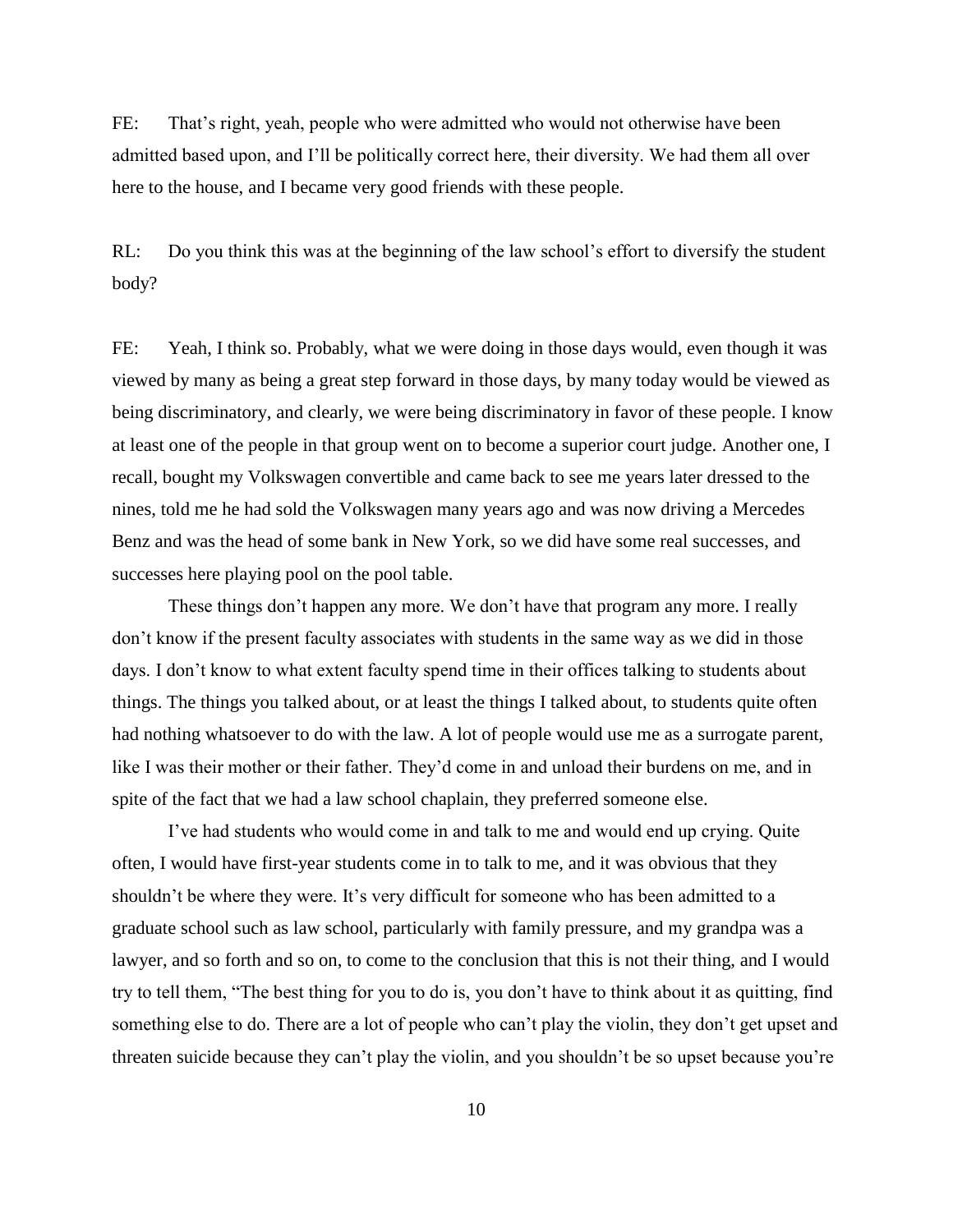FE: That's right, yeah, people who were admitted who would not otherwise have been admitted based upon, and I'll be politically correct here, their diversity. We had them all over here to the house, and I became very good friends with these people.

RL: Do you think this was at the beginning of the law school's effort to diversify the student body?

FE: Yeah, I think so. Probably, what we were doing in those days would, even though it was viewed by many as being a great step forward in those days, by many today would be viewed as being discriminatory, and clearly, we were being discriminatory in favor of these people. I know at least one of the people in that group went on to become a superior court judge. Another one, I recall, bought my Volkswagen convertible and came back to see me years later dressed to the nines, told me he had sold the Volkswagen many years ago and was now driving a Mercedes Benz and was the head of some bank in New York, so we did have some real successes, and successes here playing pool on the pool table.

These things don't happen any more. We don't have that program any more. I really don't know if the present faculty associates with students in the same way as we did in those days. I don't know to what extent faculty spend time in their offices talking to students about things. The things you talked about, or at least the things I talked about, to students quite often had nothing whatsoever to do with the law. A lot of people would use me as a surrogate parent, like I was their mother or their father. They'd come in and unload their burdens on me, and in spite of the fact that we had a law school chaplain, they preferred someone else.

I've had students who would come in and talk to me and would end up crying. Quite often, I would have first-year students come in to talk to me, and it was obvious that they shouldn't be where they were. It's very difficult for someone who has been admitted to a graduate school such as law school, particularly with family pressure, and my grandpa was a lawyer, and so forth and so on, to come to the conclusion that this is not their thing, and I would try to tell them, "The best thing for you to do is, you don't have to think about it as quitting, find something else to do. There are a lot of people who can't play the violin, they don't get upset and threaten suicide because they can't play the violin, and you shouldn't be so upset because you're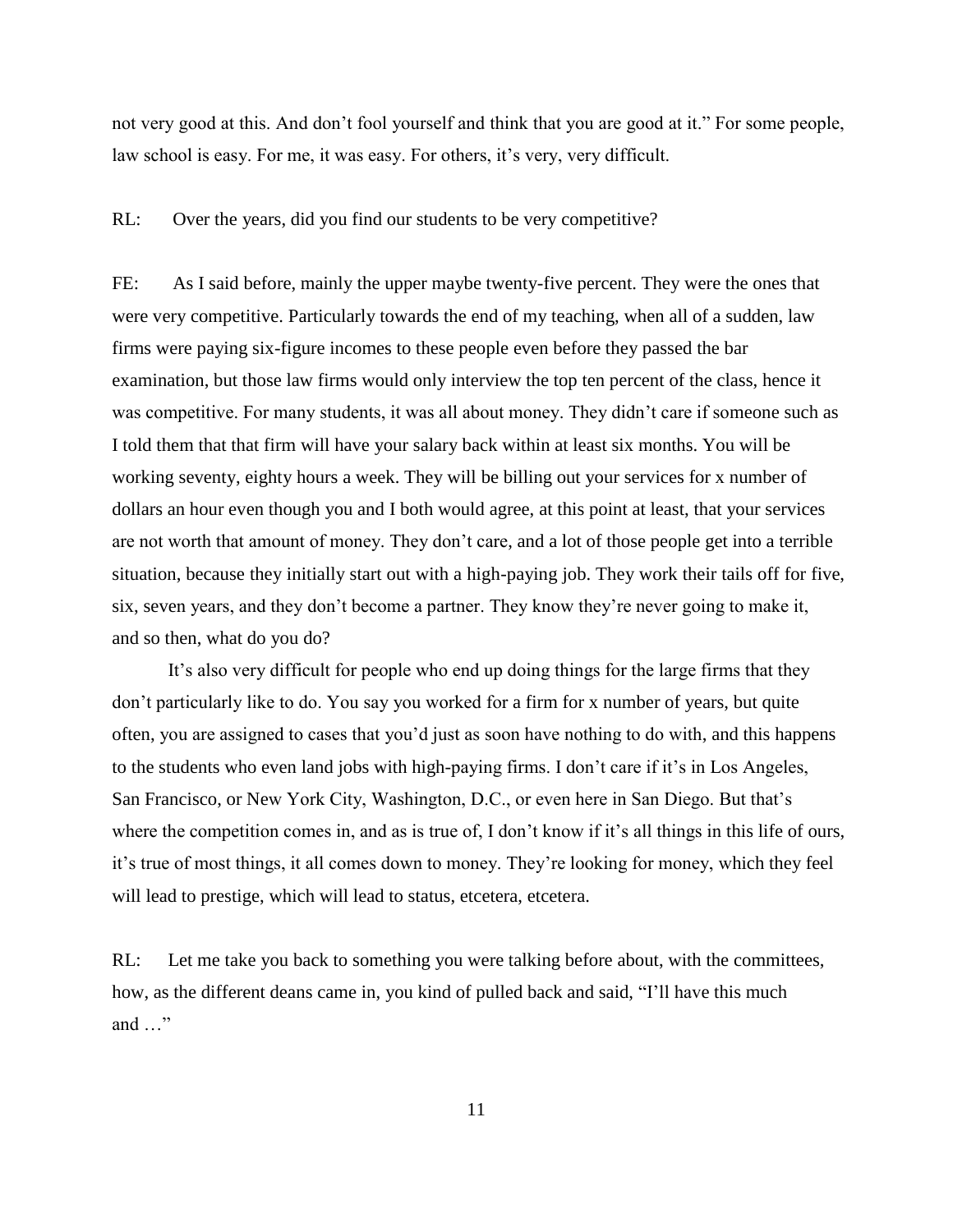not very good at this. And don't fool yourself and think that you are good at it." For some people, law school is easy. For me, it was easy. For others, it's very, very difficult.

RL: Over the years, did you find our students to be very competitive?

FE: As I said before, mainly the upper maybe twenty-five percent. They were the ones that were very competitive. Particularly towards the end of my teaching, when all of a sudden, law firms were paying six-figure incomes to these people even before they passed the bar examination, but those law firms would only interview the top ten percent of the class, hence it was competitive. For many students, it was all about money. They didn't care if someone such as I told them that that firm will have your salary back within at least six months. You will be working seventy, eighty hours a week. They will be billing out your services for x number of dollars an hour even though you and I both would agree, at this point at least, that your services are not worth that amount of money. They don't care, and a lot of those people get into a terrible situation, because they initially start out with a high-paying job. They work their tails off for five, six, seven years, and they don't become a partner. They know they're never going to make it, and so then, what do you do?

It's also very difficult for people who end up doing things for the large firms that they don't particularly like to do. You say you worked for a firm for x number of years, but quite often, you are assigned to cases that you'd just as soon have nothing to do with, and this happens to the students who even land jobs with high-paying firms. I don't care if it's in Los Angeles, San Francisco, or New York City, Washington, D.C., or even here in San Diego. But that's where the competition comes in, and as is true of, I don't know if it's all things in this life of ours, it's true of most things, it all comes down to money. They're looking for money, which they feel will lead to prestige, which will lead to status, etcetera, etcetera.

RL: Let me take you back to something you were talking before about, with the committees, how, as the different deans came in, you kind of pulled back and said, "I'll have this much and …"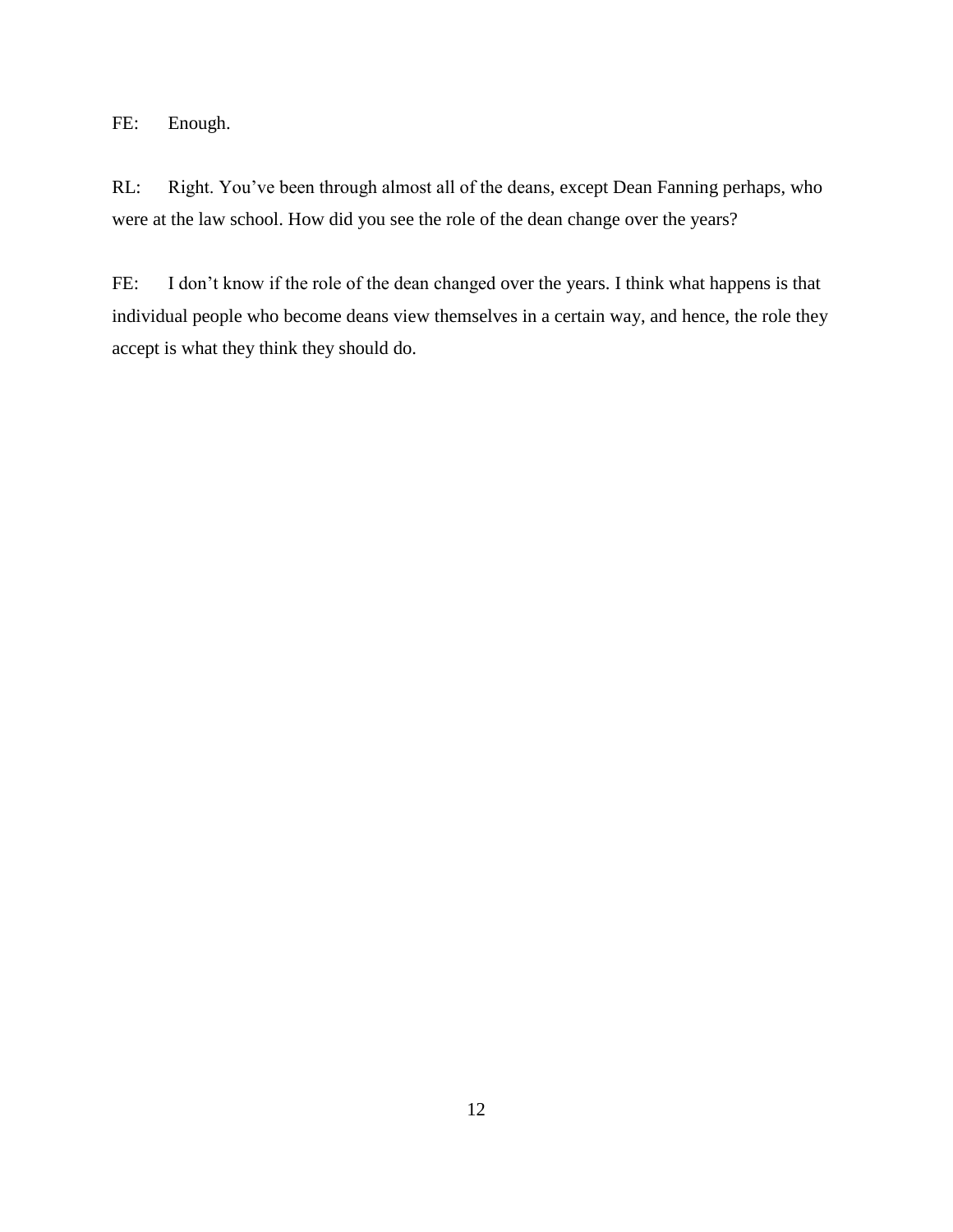FE: Enough.

RL: Right. You've been through almost all of the deans, except Dean Fanning perhaps, who were at the law school. How did you see the role of the dean change over the years?

FE: I don't know if the role of the dean changed over the years. I think what happens is that individual people who become deans view themselves in a certain way, and hence, the role they accept is what they think they should do.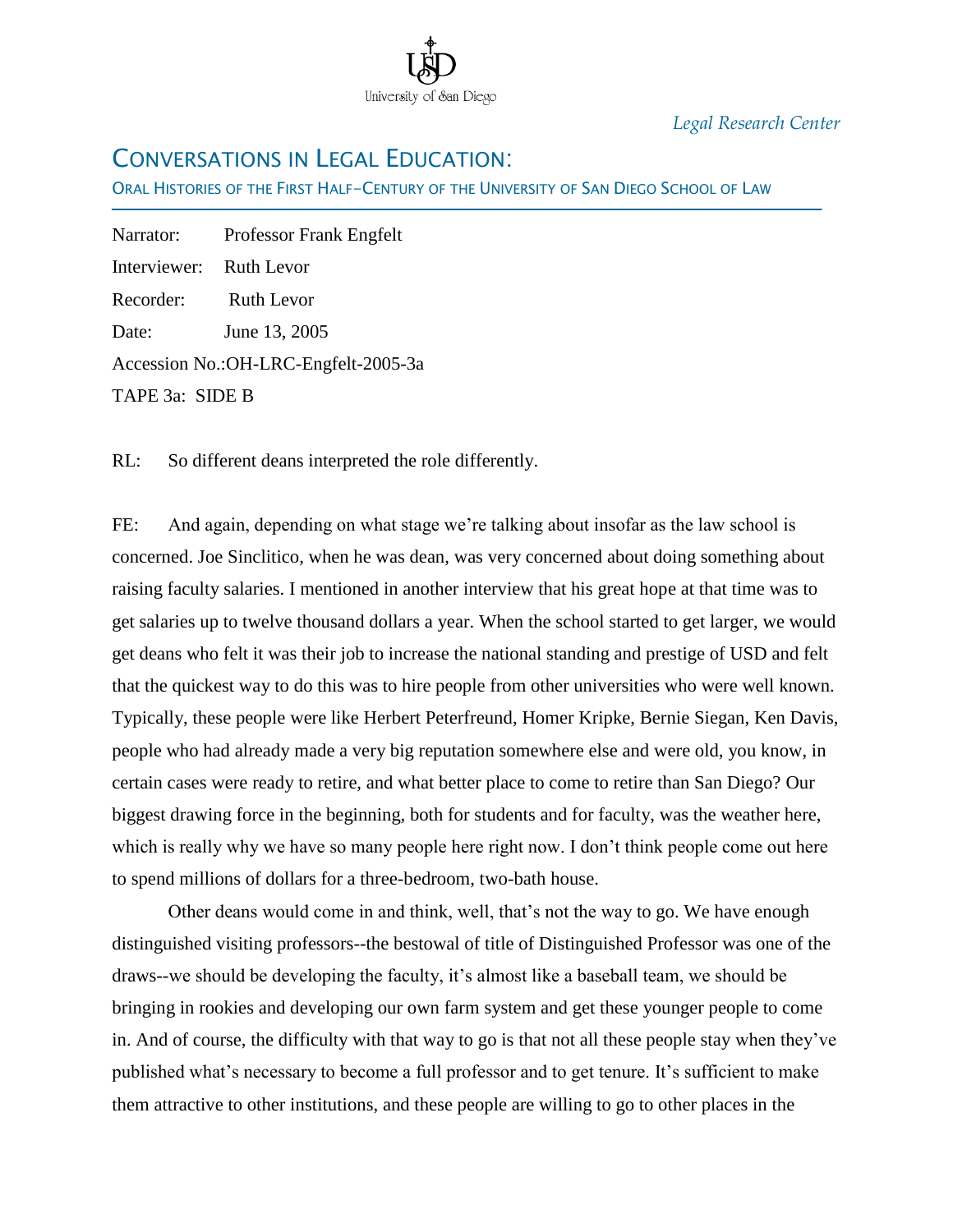

*Legal Research Center*

## CONVERSATIONS IN LEGAL EDUCATION:

ORAL HISTORIES OF THE FIRST HALF-CENTURY OF THE UNIVERSITY OF SAN DIEGO SCHOOL OF LAW

Narrator: Professor Frank Engfelt Interviewer: Ruth Levor Recorder: Ruth Levor Date: June 13, 2005 Accession No.:OH-LRC-Engfelt-2005-3a TAPE 3a: SIDE B

Ī

RL: So different deans interpreted the role differently.

FE: And again, depending on what stage we're talking about insofar as the law school is concerned. Joe Sinclitico, when he was dean, was very concerned about doing something about raising faculty salaries. I mentioned in another interview that his great hope at that time was to get salaries up to twelve thousand dollars a year. When the school started to get larger, we would get deans who felt it was their job to increase the national standing and prestige of USD and felt that the quickest way to do this was to hire people from other universities who were well known. Typically, these people were like Herbert Peterfreund, Homer Kripke, Bernie Siegan, Ken Davis, people who had already made a very big reputation somewhere else and were old, you know, in certain cases were ready to retire, and what better place to come to retire than San Diego? Our biggest drawing force in the beginning, both for students and for faculty, was the weather here, which is really why we have so many people here right now. I don't think people come out here to spend millions of dollars for a three-bedroom, two-bath house.

Other deans would come in and think, well, that's not the way to go. We have enough distinguished visiting professors--the bestowal of title of Distinguished Professor was one of the draws--we should be developing the faculty, it's almost like a baseball team, we should be bringing in rookies and developing our own farm system and get these younger people to come in. And of course, the difficulty with that way to go is that not all these people stay when they've published what's necessary to become a full professor and to get tenure. It's sufficient to make them attractive to other institutions, and these people are willing to go to other places in the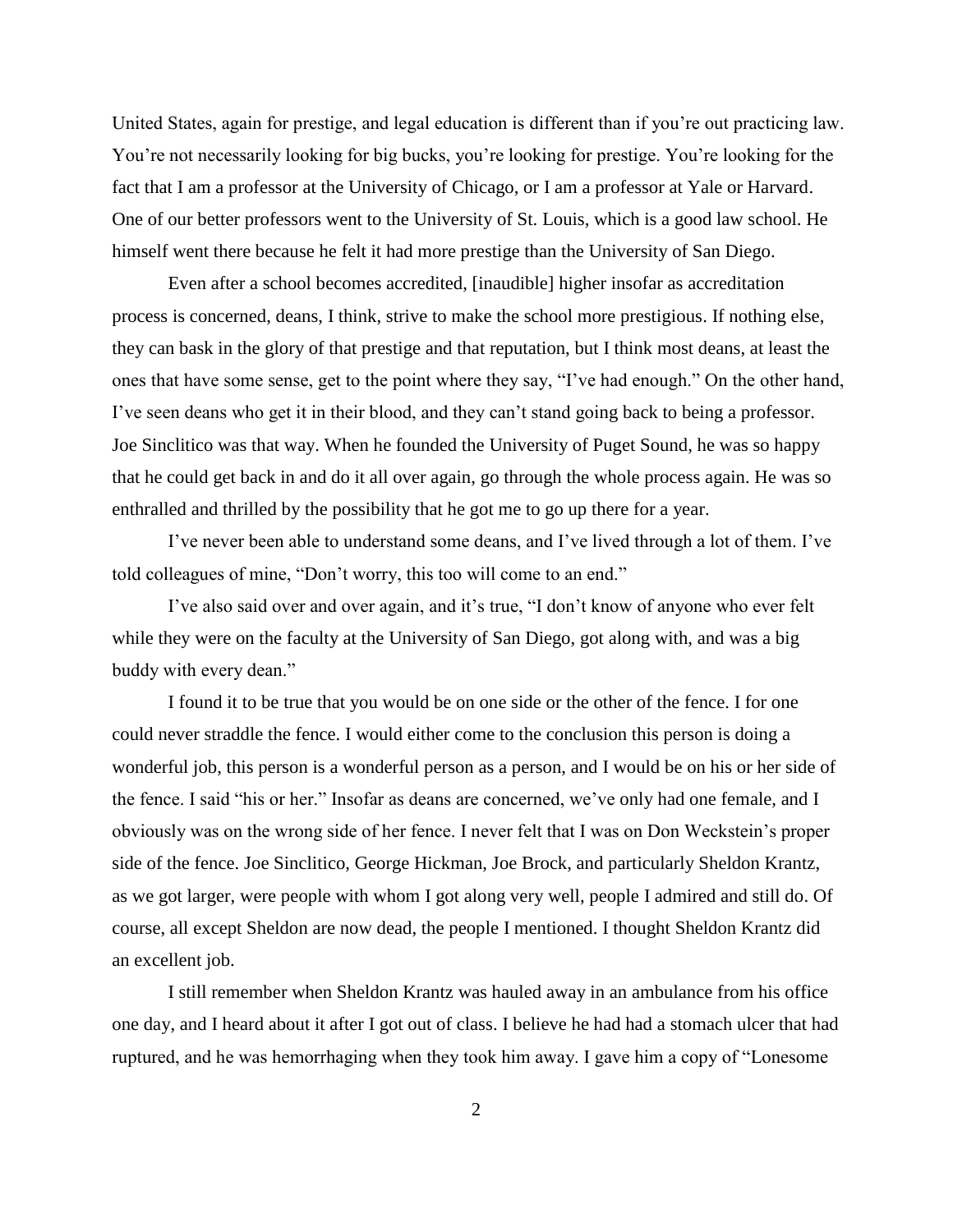United States, again for prestige, and legal education is different than if you're out practicing law. You're not necessarily looking for big bucks, you're looking for prestige. You're looking for the fact that I am a professor at the University of Chicago, or I am a professor at Yale or Harvard. One of our better professors went to the University of St. Louis, which is a good law school. He himself went there because he felt it had more prestige than the University of San Diego.

Even after a school becomes accredited, [inaudible] higher insofar as accreditation process is concerned, deans, I think, strive to make the school more prestigious. If nothing else, they can bask in the glory of that prestige and that reputation, but I think most deans, at least the ones that have some sense, get to the point where they say, "I've had enough." On the other hand, I've seen deans who get it in their blood, and they can't stand going back to being a professor. Joe Sinclitico was that way. When he founded the University of Puget Sound, he was so happy that he could get back in and do it all over again, go through the whole process again. He was so enthralled and thrilled by the possibility that he got me to go up there for a year.

I've never been able to understand some deans, and I've lived through a lot of them. I've told colleagues of mine, "Don't worry, this too will come to an end."

I've also said over and over again, and it's true, "I don't know of anyone who ever felt while they were on the faculty at the University of San Diego, got along with, and was a big buddy with every dean."

I found it to be true that you would be on one side or the other of the fence. I for one could never straddle the fence. I would either come to the conclusion this person is doing a wonderful job, this person is a wonderful person as a person, and I would be on his or her side of the fence. I said "his or her." Insofar as deans are concerned, we've only had one female, and I obviously was on the wrong side of her fence. I never felt that I was on Don Weckstein's proper side of the fence. Joe Sinclitico, George Hickman, Joe Brock, and particularly Sheldon Krantz, as we got larger, were people with whom I got along very well, people I admired and still do. Of course, all except Sheldon are now dead, the people I mentioned. I thought Sheldon Krantz did an excellent job.

I still remember when Sheldon Krantz was hauled away in an ambulance from his office one day, and I heard about it after I got out of class. I believe he had had a stomach ulcer that had ruptured, and he was hemorrhaging when they took him away. I gave him a copy of "Lonesome"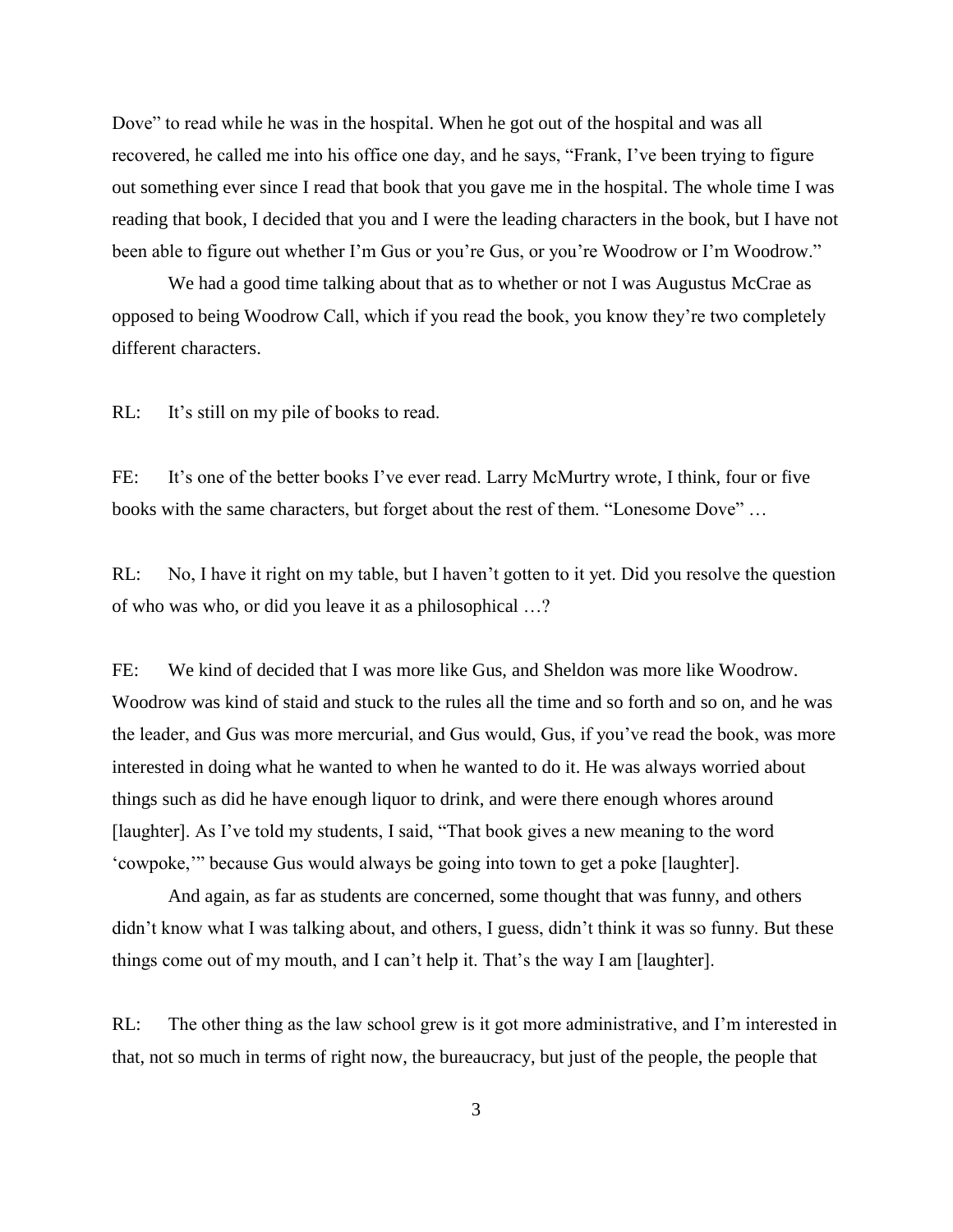Dove" to read while he was in the hospital. When he got out of the hospital and was all recovered, he called me into his office one day, and he says, "Frank, I've been trying to figure out something ever since I read that book that you gave me in the hospital. The whole time I was reading that book, I decided that you and I were the leading characters in the book, but I have not been able to figure out whether I'm Gus or you're Gus, or you're Woodrow or I'm Woodrow."

We had a good time talking about that as to whether or not I was Augustus McCrae as opposed to being Woodrow Call, which if you read the book, you know they're two completely different characters.

RL: It's still on my pile of books to read.

FE: It's one of the better books I've ever read. Larry McMurtry wrote, I think, four or five books with the same characters, but forget about the rest of them. "Lonesome Dove" ...

RL: No, I have it right on my table, but I haven't gotten to it yet. Did you resolve the question of who was who, or did you leave it as a philosophical …?

FE: We kind of decided that I was more like Gus, and Sheldon was more like Woodrow. Woodrow was kind of staid and stuck to the rules all the time and so forth and so on, and he was the leader, and Gus was more mercurial, and Gus would, Gus, if you've read the book, was more interested in doing what he wanted to when he wanted to do it. He was always worried about things such as did he have enough liquor to drink, and were there enough whores around [laughter]. As I've told my students, I said, "That book gives a new meaning to the word ‗cowpoke,'‖ because Gus would always be going into town to get a poke [laughter].

And again, as far as students are concerned, some thought that was funny, and others didn't know what I was talking about, and others, I guess, didn't think it was so funny. But these things come out of my mouth, and I can't help it. That's the way I am [laughter].

RL: The other thing as the law school grew is it got more administrative, and I'm interested in that, not so much in terms of right now, the bureaucracy, but just of the people, the people that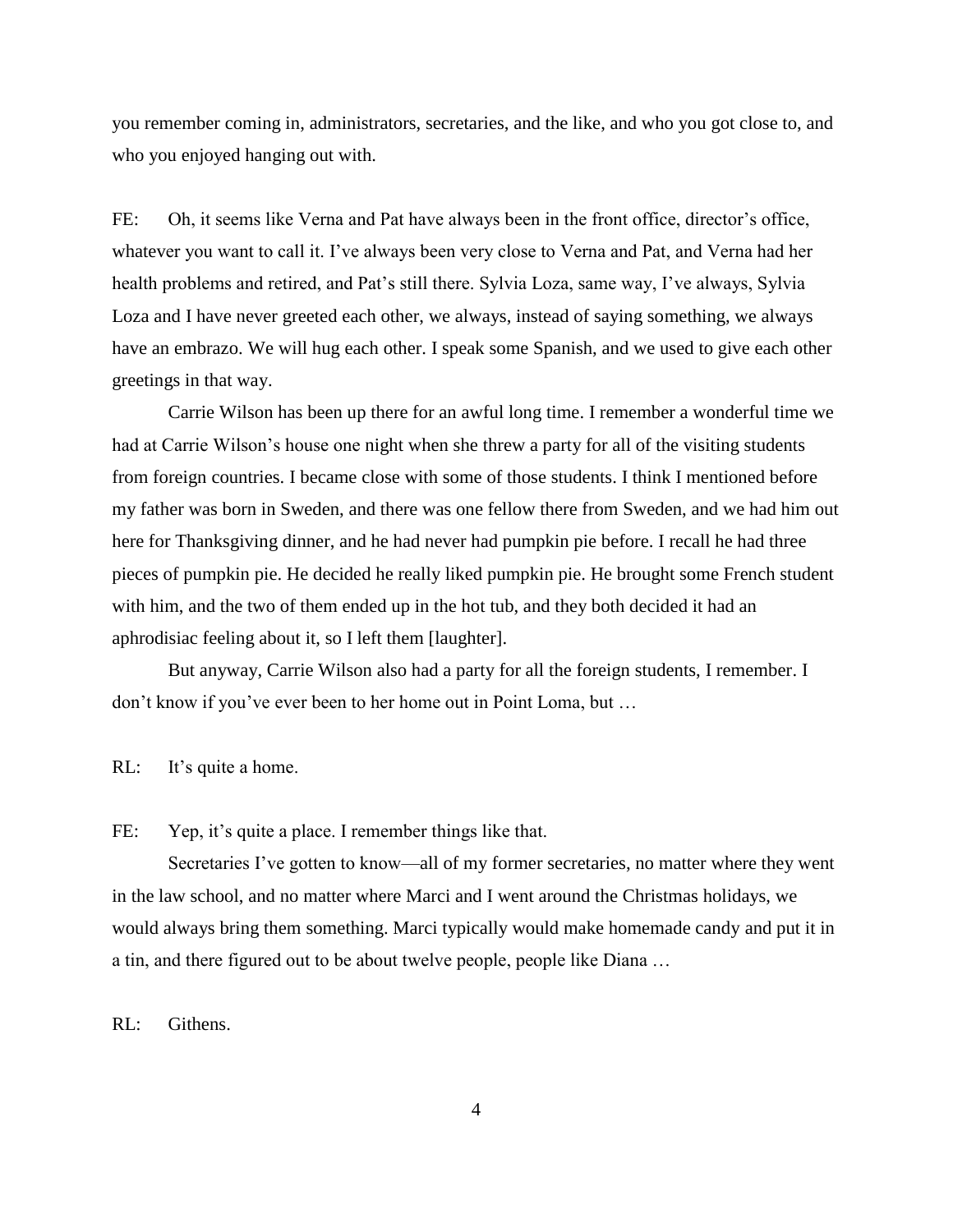you remember coming in, administrators, secretaries, and the like, and who you got close to, and who you enjoyed hanging out with.

FE: Oh, it seems like Verna and Pat have always been in the front office, director's office, whatever you want to call it. I've always been very close to Verna and Pat, and Verna had her health problems and retired, and Pat's still there. Sylvia Loza, same way, I've always, Sylvia Loza and I have never greeted each other, we always, instead of saying something, we always have an embrazo. We will hug each other. I speak some Spanish, and we used to give each other greetings in that way.

Carrie Wilson has been up there for an awful long time. I remember a wonderful time we had at Carrie Wilson's house one night when she threw a party for all of the visiting students from foreign countries. I became close with some of those students. I think I mentioned before my father was born in Sweden, and there was one fellow there from Sweden, and we had him out here for Thanksgiving dinner, and he had never had pumpkin pie before. I recall he had three pieces of pumpkin pie. He decided he really liked pumpkin pie. He brought some French student with him, and the two of them ended up in the hot tub, and they both decided it had an aphrodisiac feeling about it, so I left them [laughter].

But anyway, Carrie Wilson also had a party for all the foreign students, I remember. I don't know if you've ever been to her home out in Point Loma, but …

RL: It's quite a home.

FE: Yep, it's quite a place. I remember things like that.

Secretaries I've gotten to know—all of my former secretaries, no matter where they went in the law school, and no matter where Marci and I went around the Christmas holidays, we would always bring them something. Marci typically would make homemade candy and put it in a tin, and there figured out to be about twelve people, people like Diana …

RL: Githens.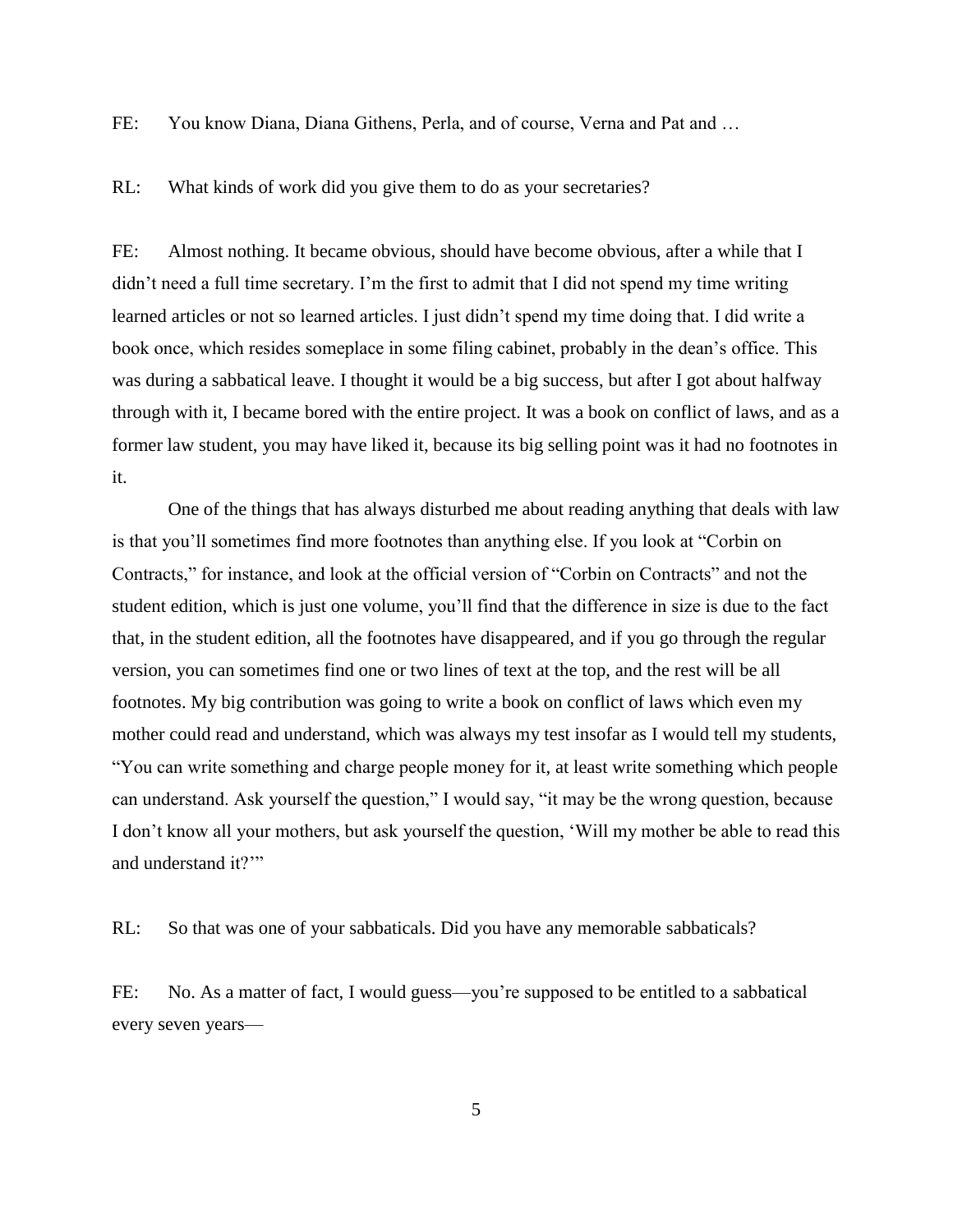FE: You know Diana, Diana Githens, Perla, and of course, Verna and Pat and …

RL: What kinds of work did you give them to do as your secretaries?

FE: Almost nothing. It became obvious, should have become obvious, after a while that I didn't need a full time secretary. I'm the first to admit that I did not spend my time writing learned articles or not so learned articles. I just didn't spend my time doing that. I did write a book once, which resides someplace in some filing cabinet, probably in the dean's office. This was during a sabbatical leave. I thought it would be a big success, but after I got about halfway through with it, I became bored with the entire project. It was a book on conflict of laws, and as a former law student, you may have liked it, because its big selling point was it had no footnotes in it.

One of the things that has always disturbed me about reading anything that deals with law is that you'll sometimes find more footnotes than anything else. If you look at "Corbin on Contracts," for instance, and look at the official version of "Corbin on Contracts" and not the student edition, which is just one volume, you'll find that the difference in size is due to the fact that, in the student edition, all the footnotes have disappeared, and if you go through the regular version, you can sometimes find one or two lines of text at the top, and the rest will be all footnotes. My big contribution was going to write a book on conflict of laws which even my mother could read and understand, which was always my test insofar as I would tell my students, ―You can write something and charge people money for it, at least write something which people can understand. Ask yourself the question," I would say, "it may be the wrong question, because I don't know all your mothers, but ask yourself the question, 'Will my mother be able to read this and understand it?"

RL: So that was one of your sabbaticals. Did you have any memorable sabbaticals?

FE: No. As a matter of fact, I would guess—you're supposed to be entitled to a sabbatical every seven years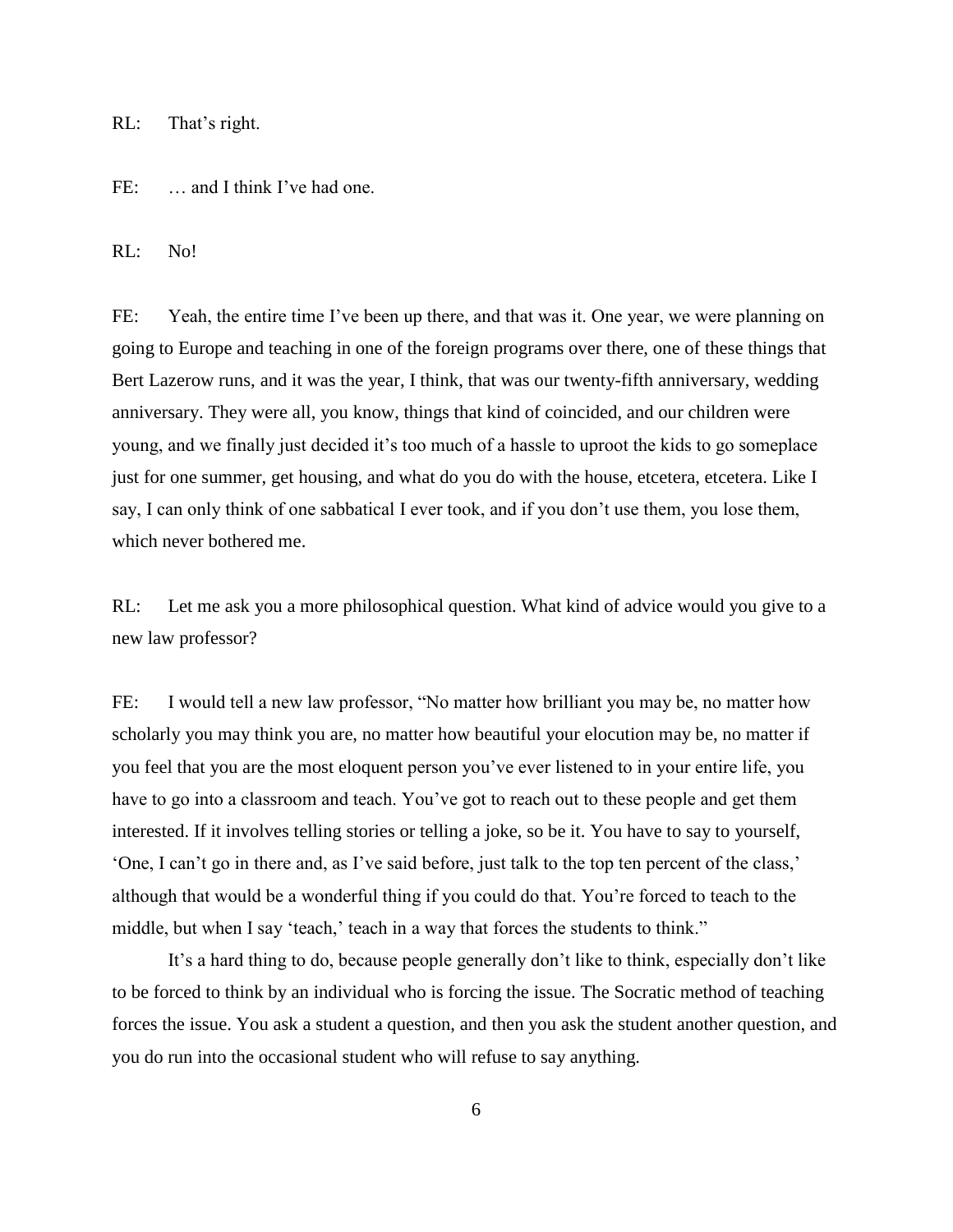RL: That's right.

FE: ... and I think I've had one.

RL: No!

FE: Yeah, the entire time I've been up there, and that was it. One year, we were planning on going to Europe and teaching in one of the foreign programs over there, one of these things that Bert Lazerow runs, and it was the year, I think, that was our twenty-fifth anniversary, wedding anniversary. They were all, you know, things that kind of coincided, and our children were young, and we finally just decided it's too much of a hassle to uproot the kids to go someplace just for one summer, get housing, and what do you do with the house, etcetera, etcetera. Like I say, I can only think of one sabbatical I ever took, and if you don't use them, you lose them, which never bothered me.

RL: Let me ask you a more philosophical question. What kind of advice would you give to a new law professor?

FE: I would tell a new law professor, "No matter how brilliant you may be, no matter how scholarly you may think you are, no matter how beautiful your elocution may be, no matter if you feel that you are the most eloquent person you've ever listened to in your entire life, you have to go into a classroom and teach. You've got to reach out to these people and get them interested. If it involves telling stories or telling a joke, so be it. You have to say to yourself, ‗One, I can't go in there and, as I've said before, just talk to the top ten percent of the class,' although that would be a wonderful thing if you could do that. You're forced to teach to the middle, but when I say 'teach,' teach in a way that forces the students to think."

It's a hard thing to do, because people generally don't like to think, especially don't like to be forced to think by an individual who is forcing the issue. The Socratic method of teaching forces the issue. You ask a student a question, and then you ask the student another question, and you do run into the occasional student who will refuse to say anything.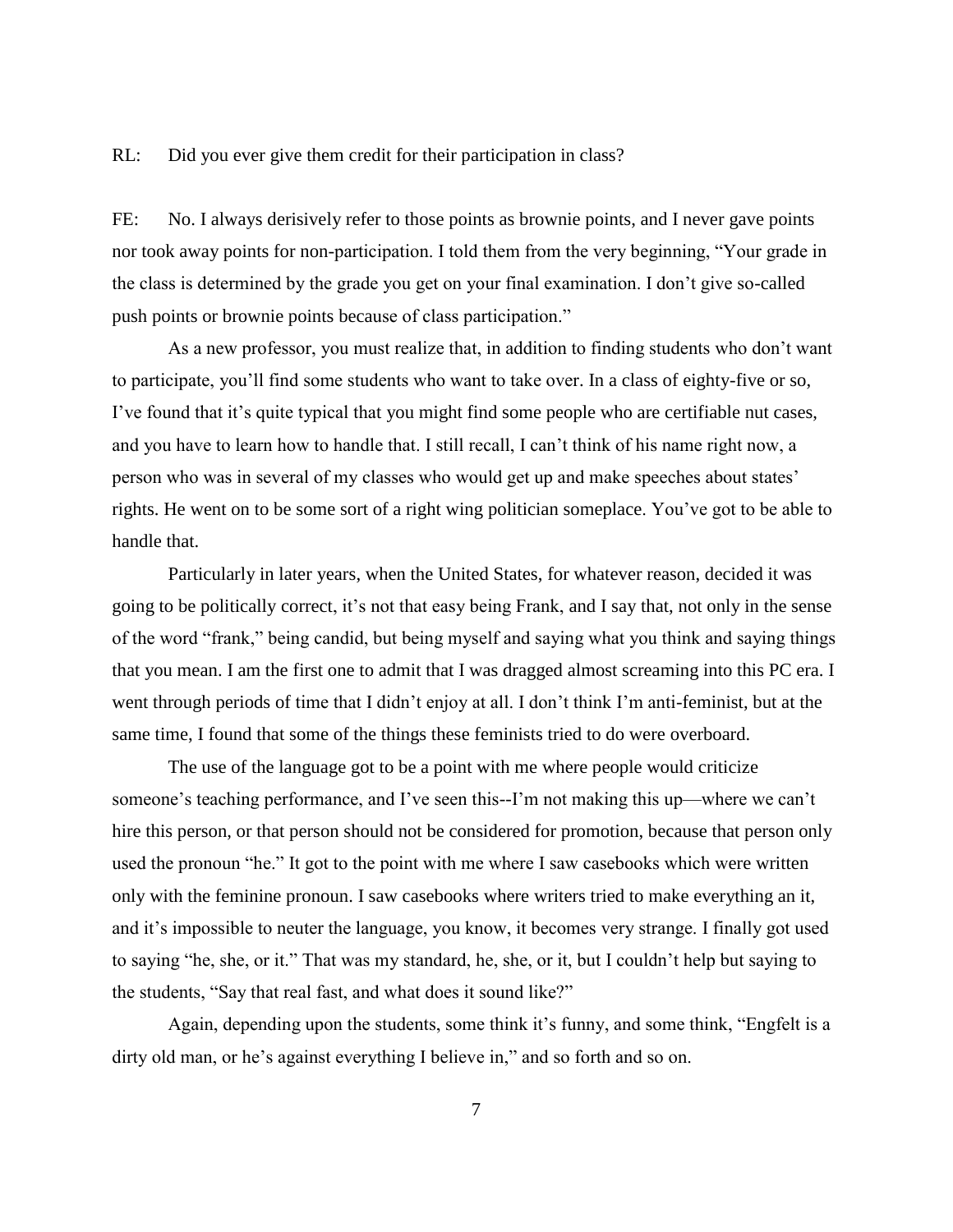RL: Did you ever give them credit for their participation in class?

FE: No. I always derisively refer to those points as brownie points, and I never gave points nor took away points for non-participation. I told them from the very beginning, "Your grade in the class is determined by the grade you get on your final examination. I don't give so-called push points or brownie points because of class participation."

As a new professor, you must realize that, in addition to finding students who don't want to participate, you'll find some students who want to take over. In a class of eighty-five or so, I've found that it's quite typical that you might find some people who are certifiable nut cases, and you have to learn how to handle that. I still recall, I can't think of his name right now, a person who was in several of my classes who would get up and make speeches about states' rights. He went on to be some sort of a right wing politician someplace. You've got to be able to handle that.

Particularly in later years, when the United States, for whatever reason, decided it was going to be politically correct, it's not that easy being Frank, and I say that, not only in the sense of the word "frank," being candid, but being myself and saying what you think and saying things that you mean. I am the first one to admit that I was dragged almost screaming into this PC era. I went through periods of time that I didn't enjoy at all. I don't think I'm anti-feminist, but at the same time, I found that some of the things these feminists tried to do were overboard.

The use of the language got to be a point with me where people would criticize someone's teaching performance, and I've seen this--I'm not making this up—where we can't hire this person, or that person should not be considered for promotion, because that person only used the pronoun "he." It got to the point with me where I saw casebooks which were written only with the feminine pronoun. I saw casebooks where writers tried to make everything an it, and it's impossible to neuter the language, you know, it becomes very strange. I finally got used to saying "he, she, or it." That was my standard, he, she, or it, but I couldn't help but saying to the students, "Say that real fast, and what does it sound like?"

Again, depending upon the students, some think it's funny, and some think, "Engfelt is a dirty old man, or he's against everything I believe in," and so forth and so on.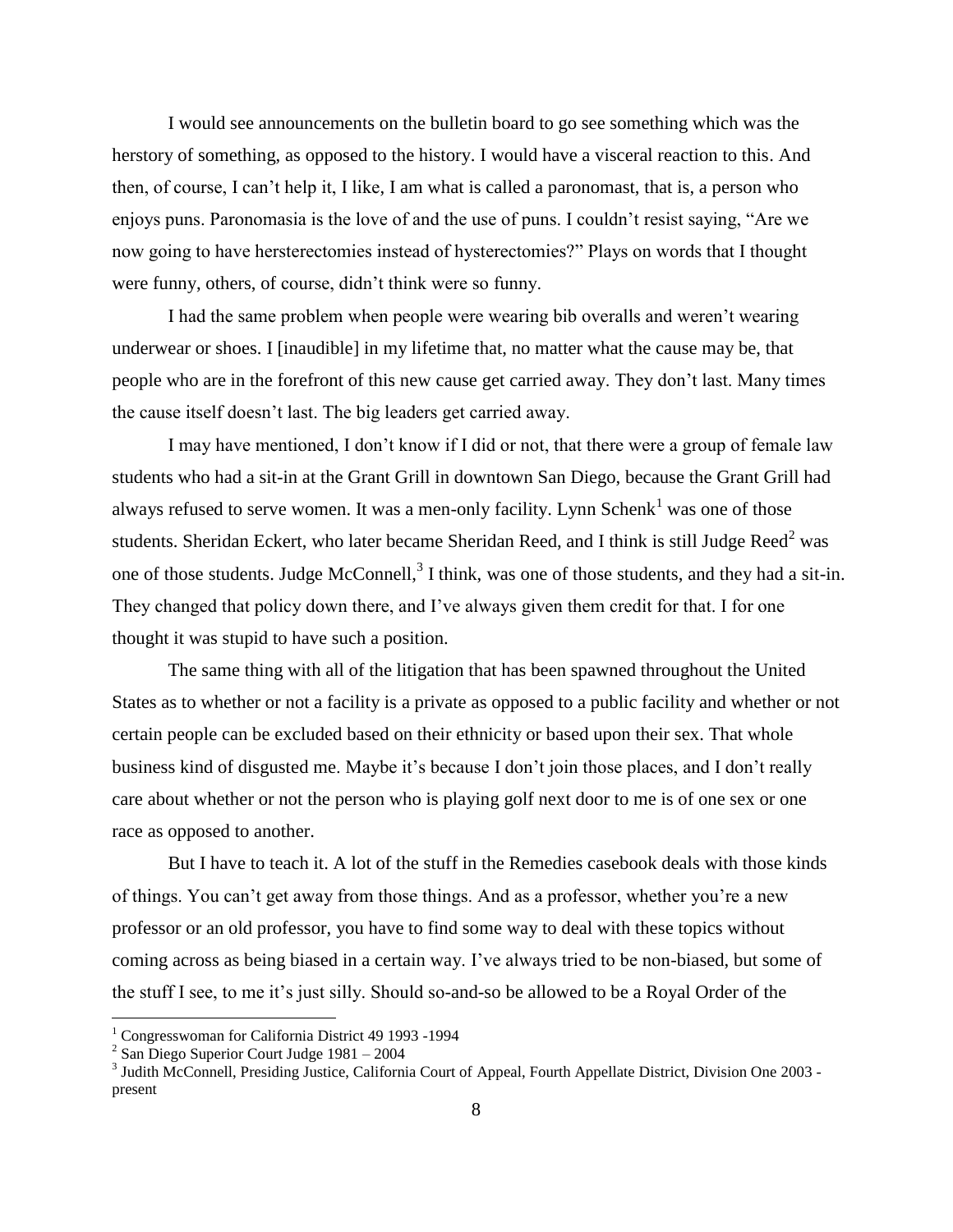I would see announcements on the bulletin board to go see something which was the herstory of something, as opposed to the history. I would have a visceral reaction to this. And then, of course, I can't help it, I like, I am what is called a paronomast, that is, a person who enjoys puns. Paronomasia is the love of and the use of puns. I couldn't resist saying, "Are we now going to have hersterectomies instead of hysterectomies?" Plays on words that I thought were funny, others, of course, didn't think were so funny.

I had the same problem when people were wearing bib overalls and weren't wearing underwear or shoes. I [inaudible] in my lifetime that, no matter what the cause may be, that people who are in the forefront of this new cause get carried away. They don't last. Many times the cause itself doesn't last. The big leaders get carried away.

I may have mentioned, I don't know if I did or not, that there were a group of female law students who had a sit-in at the Grant Grill in downtown San Diego, because the Grant Grill had always refused to serve women. It was a men-only facility. Lynn  $Schenk<sup>1</sup>$  was one of those students. Sheridan Eckert, who later became Sheridan Reed, and I think is still Judge Reed<sup>2</sup> was one of those students. Judge McConnell,<sup>3</sup> I think, was one of those students, and they had a sit-in. They changed that policy down there, and I've always given them credit for that. I for one thought it was stupid to have such a position.

The same thing with all of the litigation that has been spawned throughout the United States as to whether or not a facility is a private as opposed to a public facility and whether or not certain people can be excluded based on their ethnicity or based upon their sex. That whole business kind of disgusted me. Maybe it's because I don't join those places, and I don't really care about whether or not the person who is playing golf next door to me is of one sex or one race as opposed to another.

But I have to teach it. A lot of the stuff in the Remedies casebook deals with those kinds of things. You can't get away from those things. And as a professor, whether you're a new professor or an old professor, you have to find some way to deal with these topics without coming across as being biased in a certain way. I've always tried to be non-biased, but some of the stuff I see, to me it's just silly. Should so-and-so be allowed to be a Royal Order of the

 $\overline{a}$ 

<sup>&</sup>lt;sup>1</sup> Congresswoman for California District 49 1993 -1994

 $2^{2}$  San Diego Superior Court Judge 1981 – 2004

<sup>&</sup>lt;sup>3</sup> Judith McConnell, Presiding Justice, California Court of Appeal, Fourth Appellate District, Division One 2003 present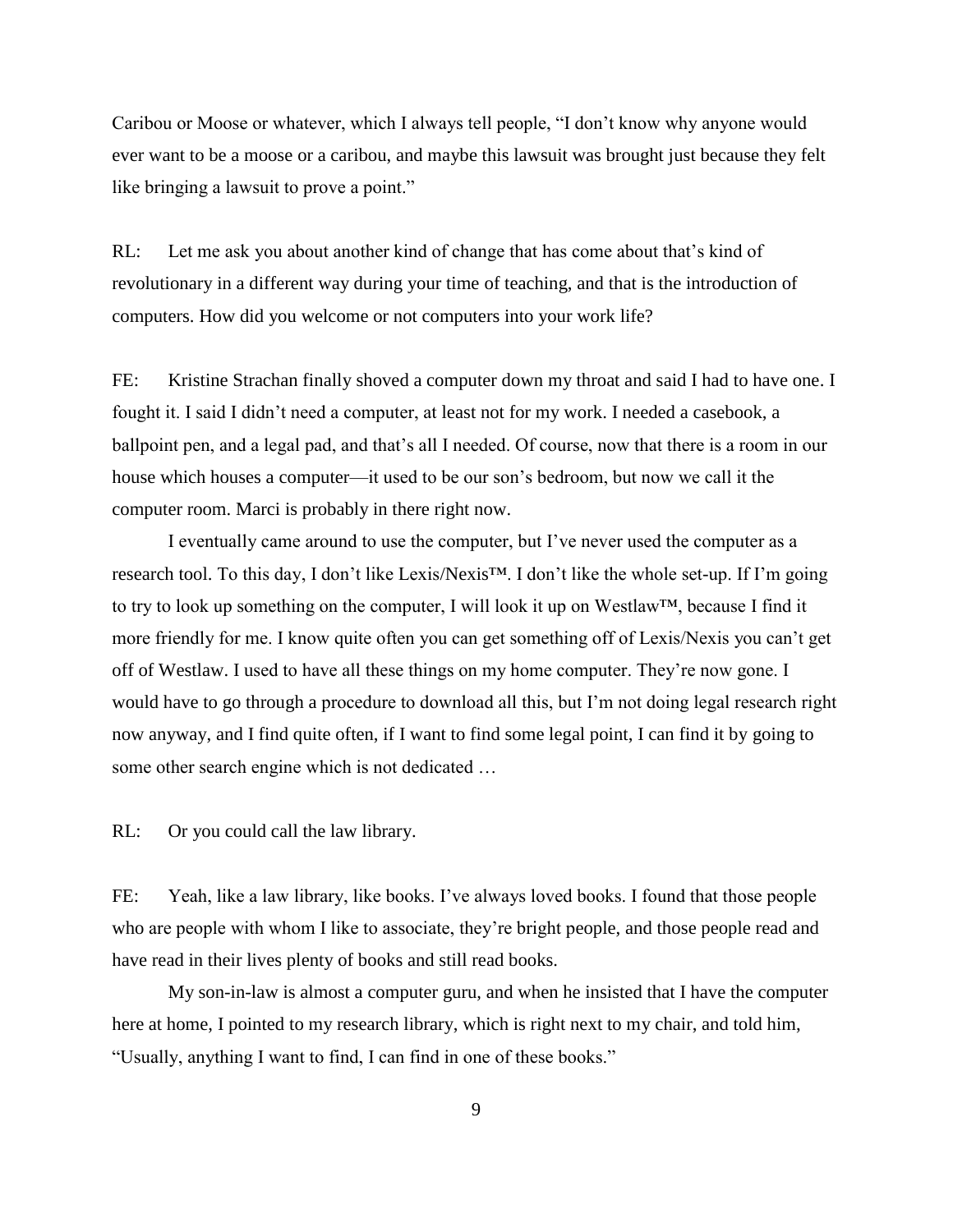Caribou or Moose or whatever, which I always tell people, "I don't know why anyone would ever want to be a moose or a caribou, and maybe this lawsuit was brought just because they felt like bringing a lawsuit to prove a point."

RL: Let me ask you about another kind of change that has come about that's kind of revolutionary in a different way during your time of teaching, and that is the introduction of computers. How did you welcome or not computers into your work life?

FE: Kristine Strachan finally shoved a computer down my throat and said I had to have one. I fought it. I said I didn't need a computer, at least not for my work. I needed a casebook, a ballpoint pen, and a legal pad, and that's all I needed. Of course, now that there is a room in our house which houses a computer—it used to be our son's bedroom, but now we call it the computer room. Marci is probably in there right now.

I eventually came around to use the computer, but I've never used the computer as a research tool. To this day, I don't like Lexis/Nexis™. I don't like the whole set-up. If I'm going to try to look up something on the computer, I will look it up on Westlaw™, because I find it more friendly for me. I know quite often you can get something off of Lexis/Nexis you can't get off of Westlaw. I used to have all these things on my home computer. They're now gone. I would have to go through a procedure to download all this, but I'm not doing legal research right now anyway, and I find quite often, if I want to find some legal point, I can find it by going to some other search engine which is not dedicated …

RL: Or you could call the law library.

FE: Yeah, like a law library, like books. I've always loved books. I found that those people who are people with whom I like to associate, they're bright people, and those people read and have read in their lives plenty of books and still read books.

My son-in-law is almost a computer guru, and when he insisted that I have the computer here at home, I pointed to my research library, which is right next to my chair, and told him, "Usually, anything I want to find, I can find in one of these books."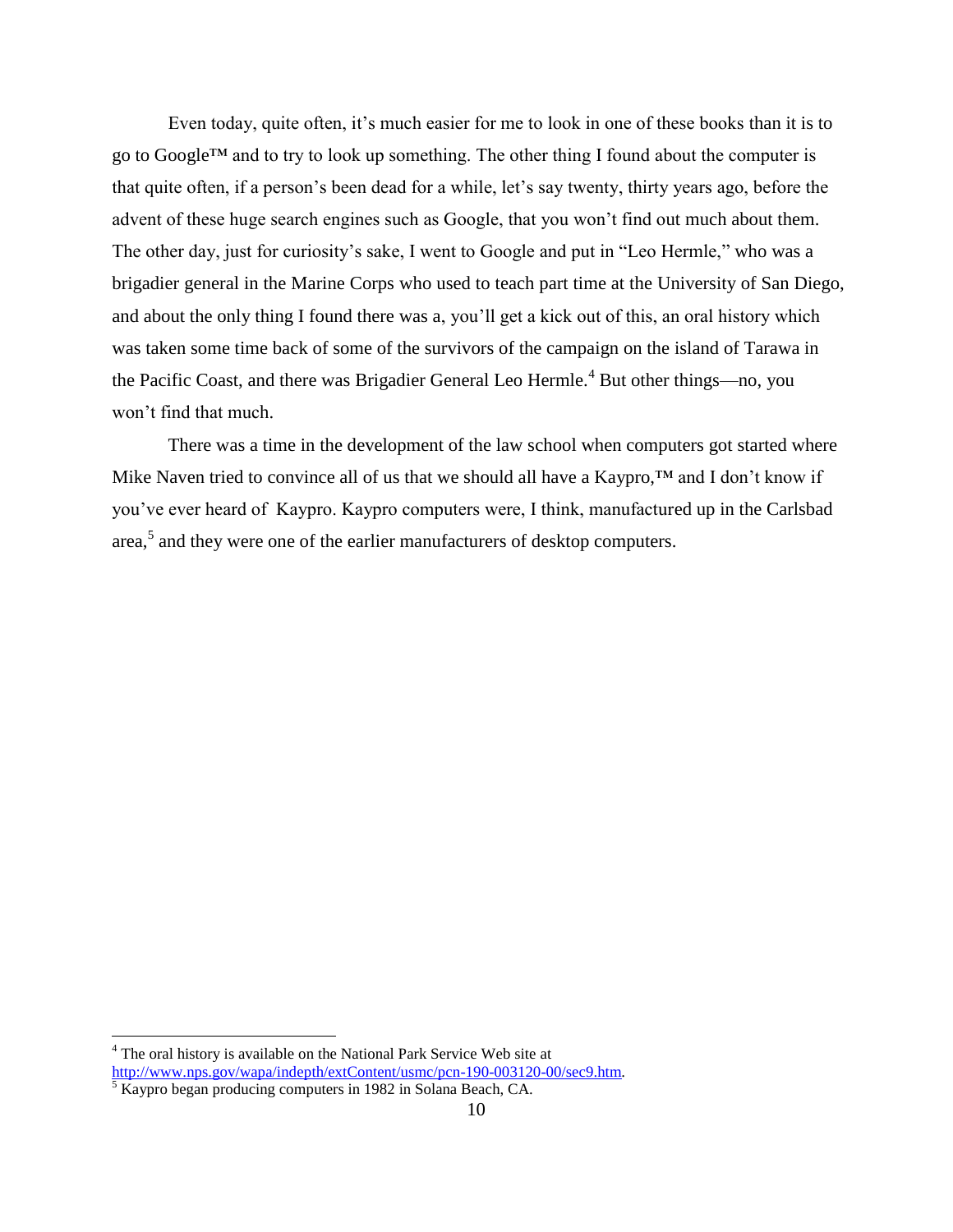Even today, quite often, it's much easier for me to look in one of these books than it is to go to Google™ and to try to look up something. The other thing I found about the computer is that quite often, if a person's been dead for a while, let's say twenty, thirty years ago, before the advent of these huge search engines such as Google, that you won't find out much about them. The other day, just for curiosity's sake, I went to Google and put in "Leo Hermle," who was a brigadier general in the Marine Corps who used to teach part time at the University of San Diego, and about the only thing I found there was a, you'll get a kick out of this, an oral history which was taken some time back of some of the survivors of the campaign on the island of Tarawa in the Pacific Coast, and there was Brigadier General Leo Hermle.<sup>4</sup> But other things—no, you won't find that much.

There was a time in the development of the law school when computers got started where Mike Naven tried to convince all of us that we should all have a Kaypro,™ and I don't know if you've ever heard of Kaypro. Kaypro computers were, I think, manufactured up in the Carlsbad area,<sup>5</sup> and they were one of the earlier manufacturers of desktop computers.

 $\overline{a}$ 

<sup>&</sup>lt;sup>4</sup> The oral history is available on the National Park Service Web site at [http://www.nps.gov/wapa/indepth/extContent/usmc/pcn-190-003120-00/sec9.htm.](http://www.nps.gov/wapa/indepth/extContent/usmc/pcn-190-003120-00/sec9.htm) 

 $\frac{5}{5}$  Kaypro began producing computers in 1982 in Solana Beach, CA.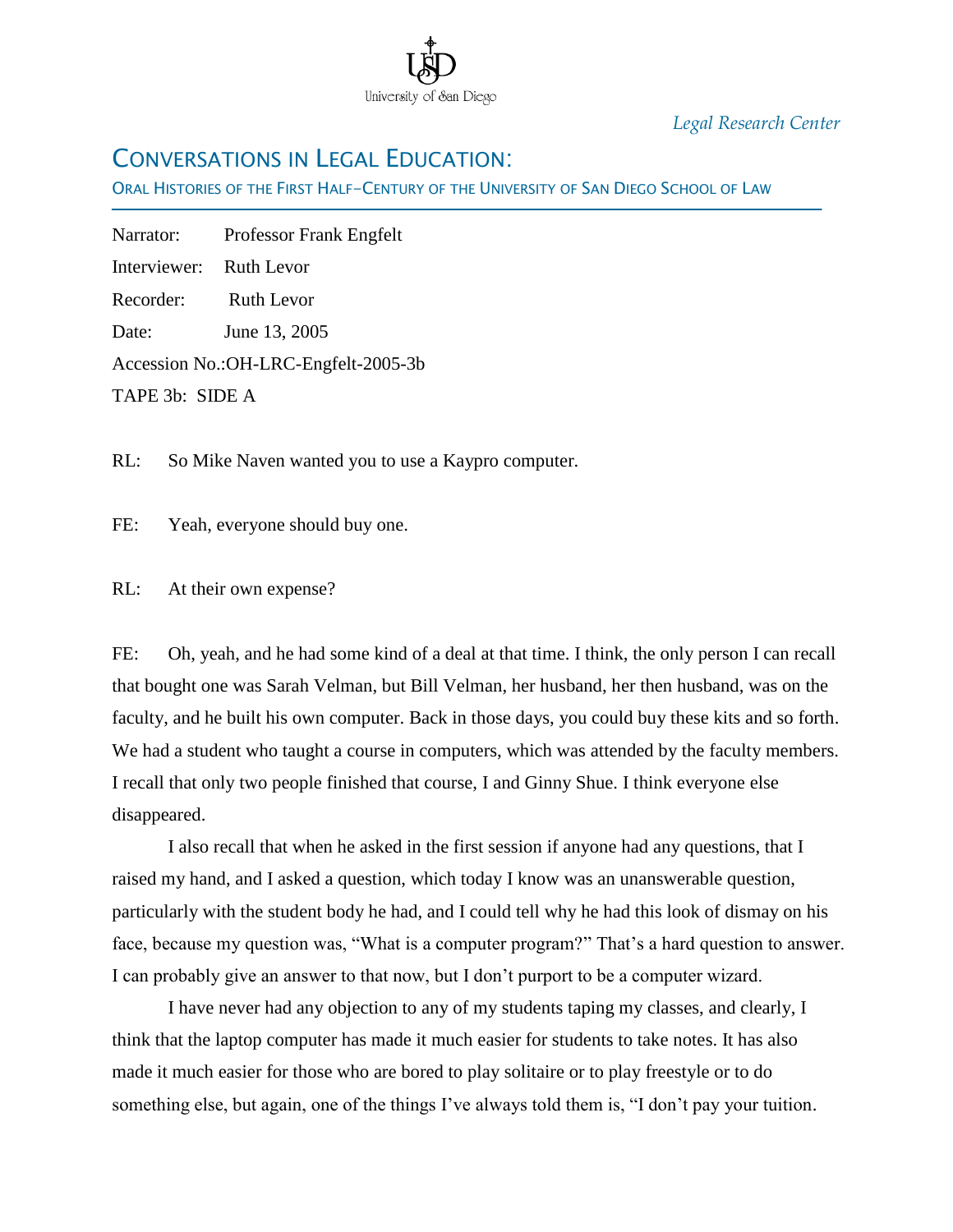

*Legal Research Center*

### CONVERSATIONS IN LEGAL EDUCATION:

ORAL HISTORIES OF THE FIRST HALF-CENTURY OF THE UNIVERSITY OF SAN DIEGO SCHOOL OF LAW

| Narrator:               | <b>Professor Frank Engfelt</b>        |
|-------------------------|---------------------------------------|
| Interviewer: Ruth Levor |                                       |
| Recorder:               | Ruth Levor                            |
| Date:                   | June 13, 2005                         |
|                         | Accession No.: OH-LRC-Engfelt-2005-3b |
| TAPE 3b: SIDE A         |                                       |

RL: So Mike Naven wanted you to use a Kaypro computer.

FE: Yeah, everyone should buy one.

RL: At their own expense?

FE: Oh, yeah, and he had some kind of a deal at that time. I think, the only person I can recall that bought one was Sarah Velman, but Bill Velman, her husband, her then husband, was on the faculty, and he built his own computer. Back in those days, you could buy these kits and so forth. We had a student who taught a course in computers, which was attended by the faculty members. I recall that only two people finished that course, I and Ginny Shue. I think everyone else disappeared.

I also recall that when he asked in the first session if anyone had any questions, that I raised my hand, and I asked a question, which today I know was an unanswerable question, particularly with the student body he had, and I could tell why he had this look of dismay on his face, because my question was, "What is a computer program?" That's a hard question to answer. I can probably give an answer to that now, but I don"t purport to be a computer wizard.

I have never had any objection to any of my students taping my classes, and clearly, I think that the laptop computer has made it much easier for students to take notes. It has also made it much easier for those who are bored to play solitaire or to play freestyle or to do something else, but again, one of the things I"ve always told them is, "I don"t pay your tuition.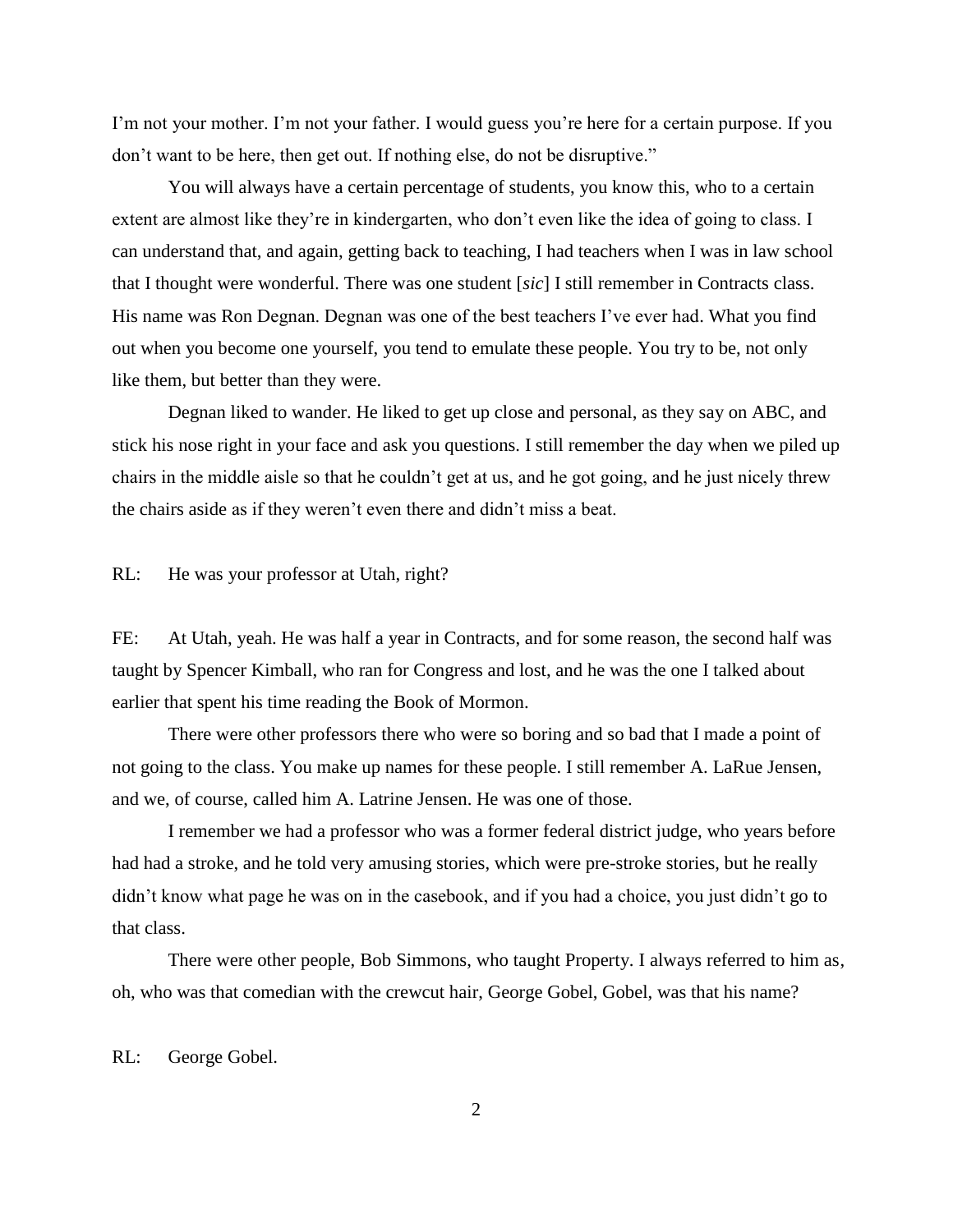I"m not your mother. I"m not your father. I would guess you"re here for a certain purpose. If you don"t want to be here, then get out. If nothing else, do not be disruptive."

You will always have a certain percentage of students, you know this, who to a certain extent are almost like they're in kindergarten, who don't even like the idea of going to class. I can understand that, and again, getting back to teaching, I had teachers when I was in law school that I thought were wonderful. There was one student [*sic*] I still remember in Contracts class. His name was Ron Degnan. Degnan was one of the best teachers I've ever had. What you find out when you become one yourself, you tend to emulate these people. You try to be, not only like them, but better than they were.

Degnan liked to wander. He liked to get up close and personal, as they say on ABC, and stick his nose right in your face and ask you questions. I still remember the day when we piled up chairs in the middle aisle so that he couldn"t get at us, and he got going, and he just nicely threw the chairs aside as if they weren"t even there and didn"t miss a beat.

RL: He was your professor at Utah, right?

FE: At Utah, yeah. He was half a year in Contracts, and for some reason, the second half was taught by Spencer Kimball, who ran for Congress and lost, and he was the one I talked about earlier that spent his time reading the Book of Mormon.

There were other professors there who were so boring and so bad that I made a point of not going to the class. You make up names for these people. I still remember A. LaRue Jensen, and we, of course, called him A. Latrine Jensen. He was one of those.

I remember we had a professor who was a former federal district judge, who years before had had a stroke, and he told very amusing stories, which were pre-stroke stories, but he really didn't know what page he was on in the casebook, and if you had a choice, you just didn't go to that class.

There were other people, Bob Simmons, who taught Property. I always referred to him as, oh, who was that comedian with the crewcut hair, George Gobel, Gobel, was that his name?

RL: George Gobel.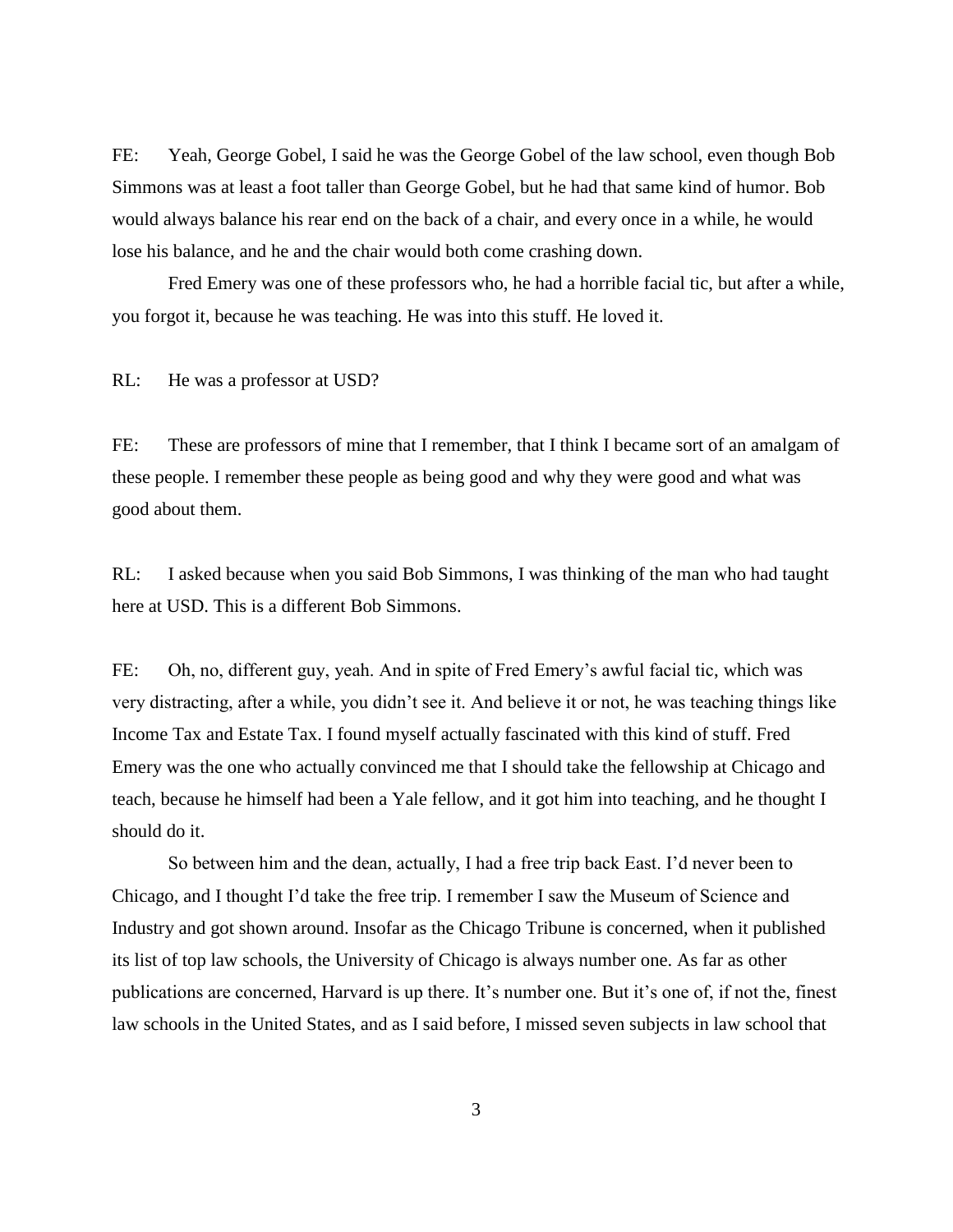FE: Yeah, George Gobel, I said he was the George Gobel of the law school, even though Bob Simmons was at least a foot taller than George Gobel, but he had that same kind of humor. Bob would always balance his rear end on the back of a chair, and every once in a while, he would lose his balance, and he and the chair would both come crashing down.

Fred Emery was one of these professors who, he had a horrible facial tic, but after a while, you forgot it, because he was teaching. He was into this stuff. He loved it.

RL: He was a professor at USD?

FE: These are professors of mine that I remember, that I think I became sort of an amalgam of these people. I remember these people as being good and why they were good and what was good about them.

RL: I asked because when you said Bob Simmons, I was thinking of the man who had taught here at USD. This is a different Bob Simmons.

FE: Oh, no, different guy, yeah. And in spite of Fred Emery's awful facial tic, which was very distracting, after a while, you didn"t see it. And believe it or not, he was teaching things like Income Tax and Estate Tax. I found myself actually fascinated with this kind of stuff. Fred Emery was the one who actually convinced me that I should take the fellowship at Chicago and teach, because he himself had been a Yale fellow, and it got him into teaching, and he thought I should do it.

So between him and the dean, actually, I had a free trip back East. I"d never been to Chicago, and I thought I"d take the free trip. I remember I saw the Museum of Science and Industry and got shown around. Insofar as the Chicago Tribune is concerned, when it published its list of top law schools, the University of Chicago is always number one. As far as other publications are concerned, Harvard is up there. It's number one. But it's one of, if not the, finest law schools in the United States, and as I said before, I missed seven subjects in law school that

3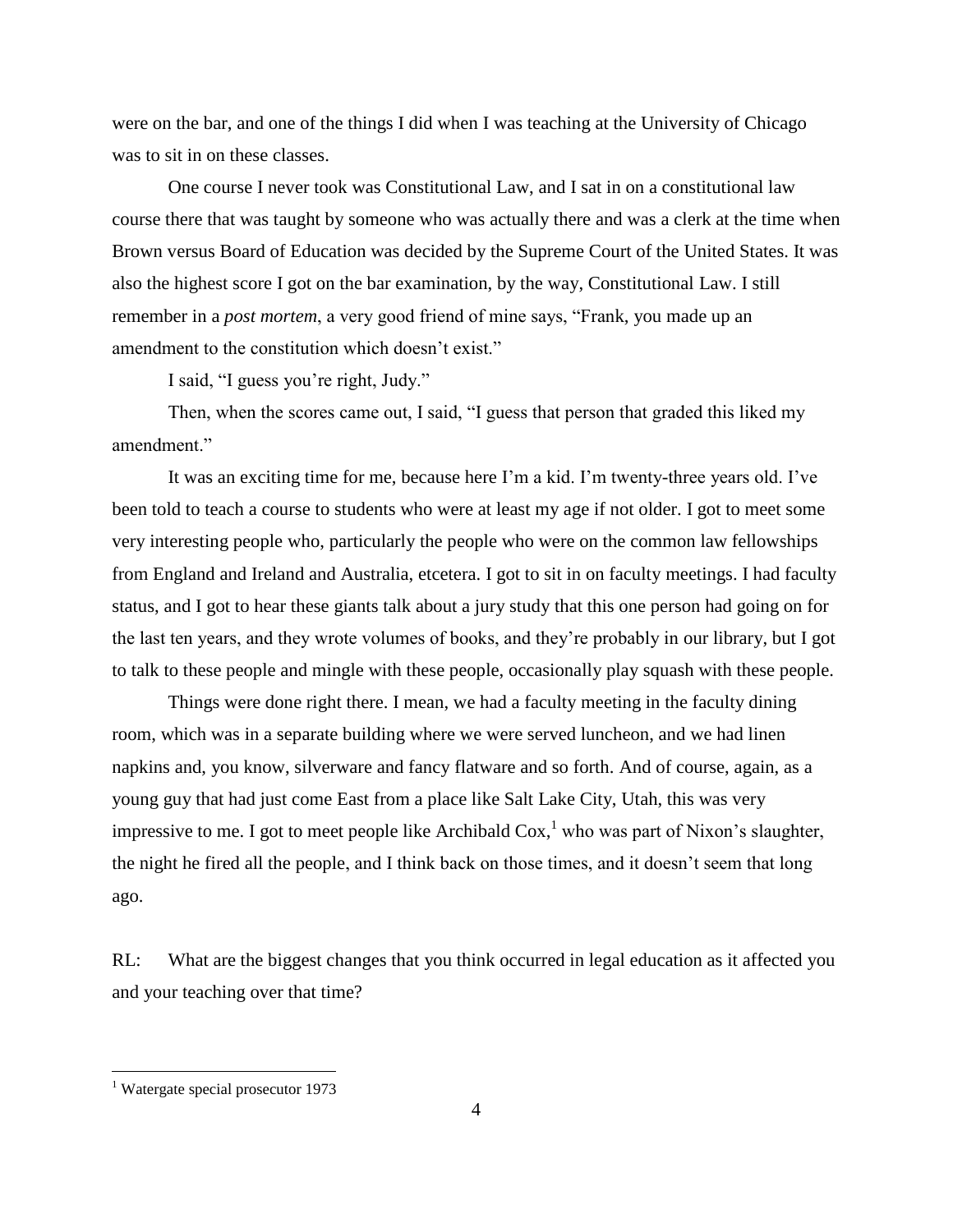were on the bar, and one of the things I did when I was teaching at the University of Chicago was to sit in on these classes.

One course I never took was Constitutional Law, and I sat in on a constitutional law course there that was taught by someone who was actually there and was a clerk at the time when Brown versus Board of Education was decided by the Supreme Court of the United States. It was also the highest score I got on the bar examination, by the way, Constitutional Law. I still remember in a *post mortem*, a very good friend of mine says, "Frank, you made up an amendment to the constitution which doesn"t exist."

I said, "I guess you"re right, Judy."

Then, when the scores came out, I said, "I guess that person that graded this liked my amendment."

It was an exciting time for me, because here I"m a kid. I"m twenty-three years old. I"ve been told to teach a course to students who were at least my age if not older. I got to meet some very interesting people who, particularly the people who were on the common law fellowships from England and Ireland and Australia, etcetera. I got to sit in on faculty meetings. I had faculty status, and I got to hear these giants talk about a jury study that this one person had going on for the last ten years, and they wrote volumes of books, and they"re probably in our library, but I got to talk to these people and mingle with these people, occasionally play squash with these people.

Things were done right there. I mean, we had a faculty meeting in the faculty dining room, which was in a separate building where we were served luncheon, and we had linen napkins and, you know, silverware and fancy flatware and so forth. And of course, again, as a young guy that had just come East from a place like Salt Lake City, Utah, this was very impressive to me. I got to meet people like Archibald  $\cos^{-1}$  who was part of Nixon's slaughter, the night he fired all the people, and I think back on those times, and it doesn"t seem that long ago.

RL: What are the biggest changes that you think occurred in legal education as it affected you and your teaching over that time?

 $\overline{a}$ 

<sup>&</sup>lt;sup>1</sup> Watergate special prosecutor 1973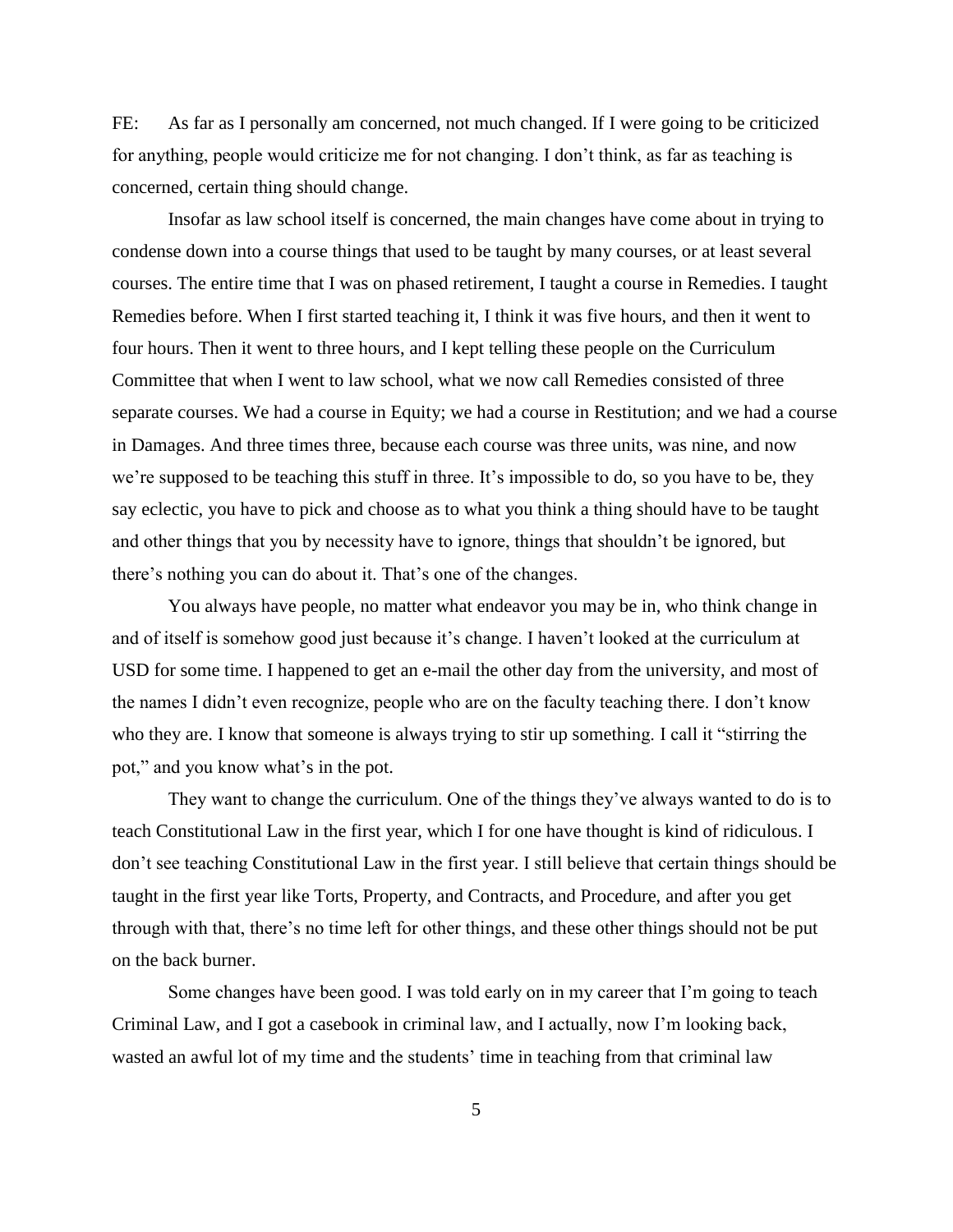FE: As far as I personally am concerned, not much changed. If I were going to be criticized for anything, people would criticize me for not changing. I don"t think, as far as teaching is concerned, certain thing should change.

Insofar as law school itself is concerned, the main changes have come about in trying to condense down into a course things that used to be taught by many courses, or at least several courses. The entire time that I was on phased retirement, I taught a course in Remedies. I taught Remedies before. When I first started teaching it, I think it was five hours, and then it went to four hours. Then it went to three hours, and I kept telling these people on the Curriculum Committee that when I went to law school, what we now call Remedies consisted of three separate courses. We had a course in Equity; we had a course in Restitution; and we had a course in Damages. And three times three, because each course was three units, was nine, and now we're supposed to be teaching this stuff in three. It's impossible to do, so you have to be, they say eclectic, you have to pick and choose as to what you think a thing should have to be taught and other things that you by necessity have to ignore, things that shouldn"t be ignored, but there"s nothing you can do about it. That"s one of the changes.

You always have people, no matter what endeavor you may be in, who think change in and of itself is somehow good just because it's change. I haven't looked at the curriculum at USD for some time. I happened to get an e-mail the other day from the university, and most of the names I didn"t even recognize, people who are on the faculty teaching there. I don"t know who they are. I know that someone is always trying to stir up something. I call it "stirring the pot," and you know what"s in the pot.

They want to change the curriculum. One of the things they've always wanted to do is to teach Constitutional Law in the first year, which I for one have thought is kind of ridiculous. I don"t see teaching Constitutional Law in the first year. I still believe that certain things should be taught in the first year like Torts, Property, and Contracts, and Procedure, and after you get through with that, there"s no time left for other things, and these other things should not be put on the back burner.

Some changes have been good. I was told early on in my career that I"m going to teach Criminal Law, and I got a casebook in criminal law, and I actually, now I"m looking back, wasted an awful lot of my time and the students' time in teaching from that criminal law

5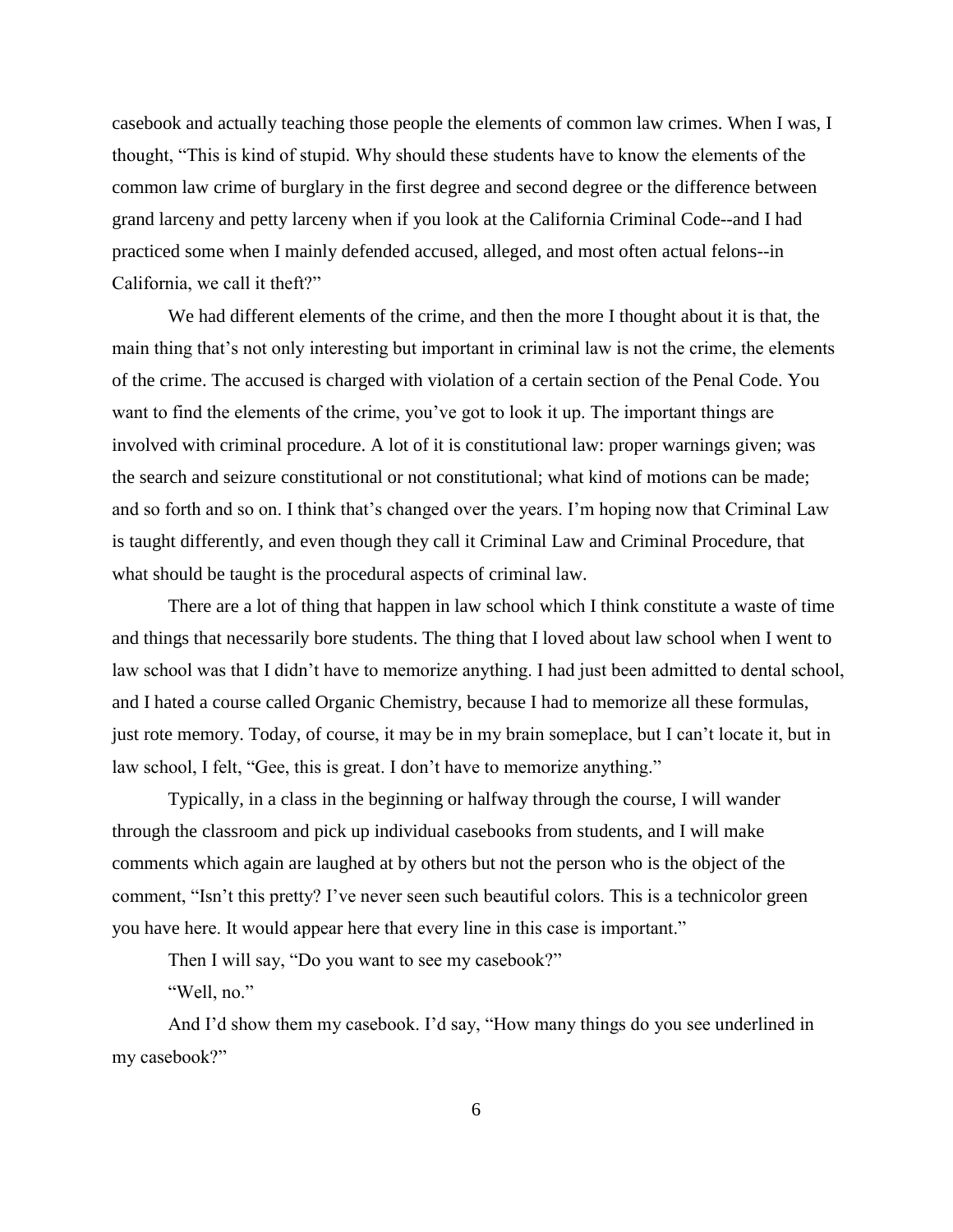casebook and actually teaching those people the elements of common law crimes. When I was, I thought, "This is kind of stupid. Why should these students have to know the elements of the common law crime of burglary in the first degree and second degree or the difference between grand larceny and petty larceny when if you look at the California Criminal Code--and I had practiced some when I mainly defended accused, alleged, and most often actual felons--in California, we call it theft?"

We had different elements of the crime, and then the more I thought about it is that, the main thing that"s not only interesting but important in criminal law is not the crime, the elements of the crime. The accused is charged with violation of a certain section of the Penal Code. You want to find the elements of the crime, you've got to look it up. The important things are involved with criminal procedure. A lot of it is constitutional law: proper warnings given; was the search and seizure constitutional or not constitutional; what kind of motions can be made; and so forth and so on. I think that's changed over the years. I'm hoping now that Criminal Law is taught differently, and even though they call it Criminal Law and Criminal Procedure, that what should be taught is the procedural aspects of criminal law.

There are a lot of thing that happen in law school which I think constitute a waste of time and things that necessarily bore students. The thing that I loved about law school when I went to law school was that I didn't have to memorize anything. I had just been admitted to dental school, and I hated a course called Organic Chemistry, because I had to memorize all these formulas, just rote memory. Today, of course, it may be in my brain someplace, but I can"t locate it, but in law school, I felt, "Gee, this is great. I don"t have to memorize anything."

Typically, in a class in the beginning or halfway through the course, I will wander through the classroom and pick up individual casebooks from students, and I will make comments which again are laughed at by others but not the person who is the object of the comment, "Isn't this pretty? I've never seen such beautiful colors. This is a technicolor green you have here. It would appear here that every line in this case is important."

Then I will say, "Do you want to see my casebook?"

"Well, no."

And I'd show them my casebook. I'd say, "How many things do you see underlined in my casebook?"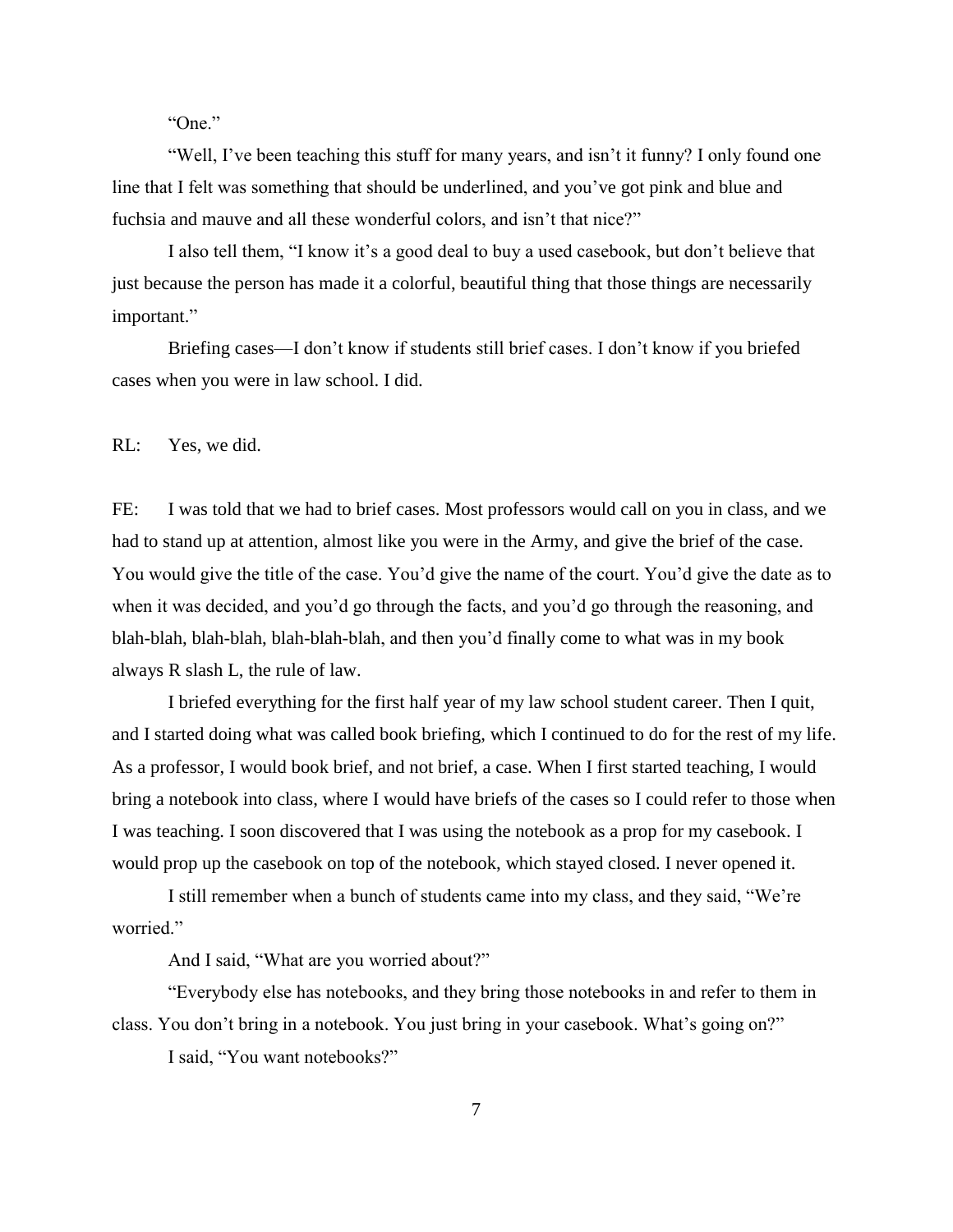"One."

"Well, I"ve been teaching this stuff for many years, and isn"t it funny? I only found one line that I felt was something that should be underlined, and you"ve got pink and blue and fuchsia and mauve and all these wonderful colors, and isn't that nice?"

I also tell them, "I know it's a good deal to buy a used casebook, but don't believe that just because the person has made it a colorful, beautiful thing that those things are necessarily important."

Briefing cases—I don't know if students still brief cases. I don't know if you briefed cases when you were in law school. I did.

RL: Yes, we did.

FE: I was told that we had to brief cases. Most professors would call on you in class, and we had to stand up at attention, almost like you were in the Army, and give the brief of the case. You would give the title of the case. You"d give the name of the court. You"d give the date as to when it was decided, and you'd go through the facts, and you'd go through the reasoning, and blah-blah, blah-blah, blah-blah-blah, and then you"d finally come to what was in my book always R slash L, the rule of law.

I briefed everything for the first half year of my law school student career. Then I quit, and I started doing what was called book briefing, which I continued to do for the rest of my life. As a professor, I would book brief, and not brief, a case. When I first started teaching, I would bring a notebook into class, where I would have briefs of the cases so I could refer to those when I was teaching. I soon discovered that I was using the notebook as a prop for my casebook. I would prop up the casebook on top of the notebook, which stayed closed. I never opened it.

I still remember when a bunch of students came into my class, and they said, "We"re worried."

And I said, "What are you worried about?"

"Everybody else has notebooks, and they bring those notebooks in and refer to them in class. You don"t bring in a notebook. You just bring in your casebook. What"s going on?"

I said, "You want notebooks?"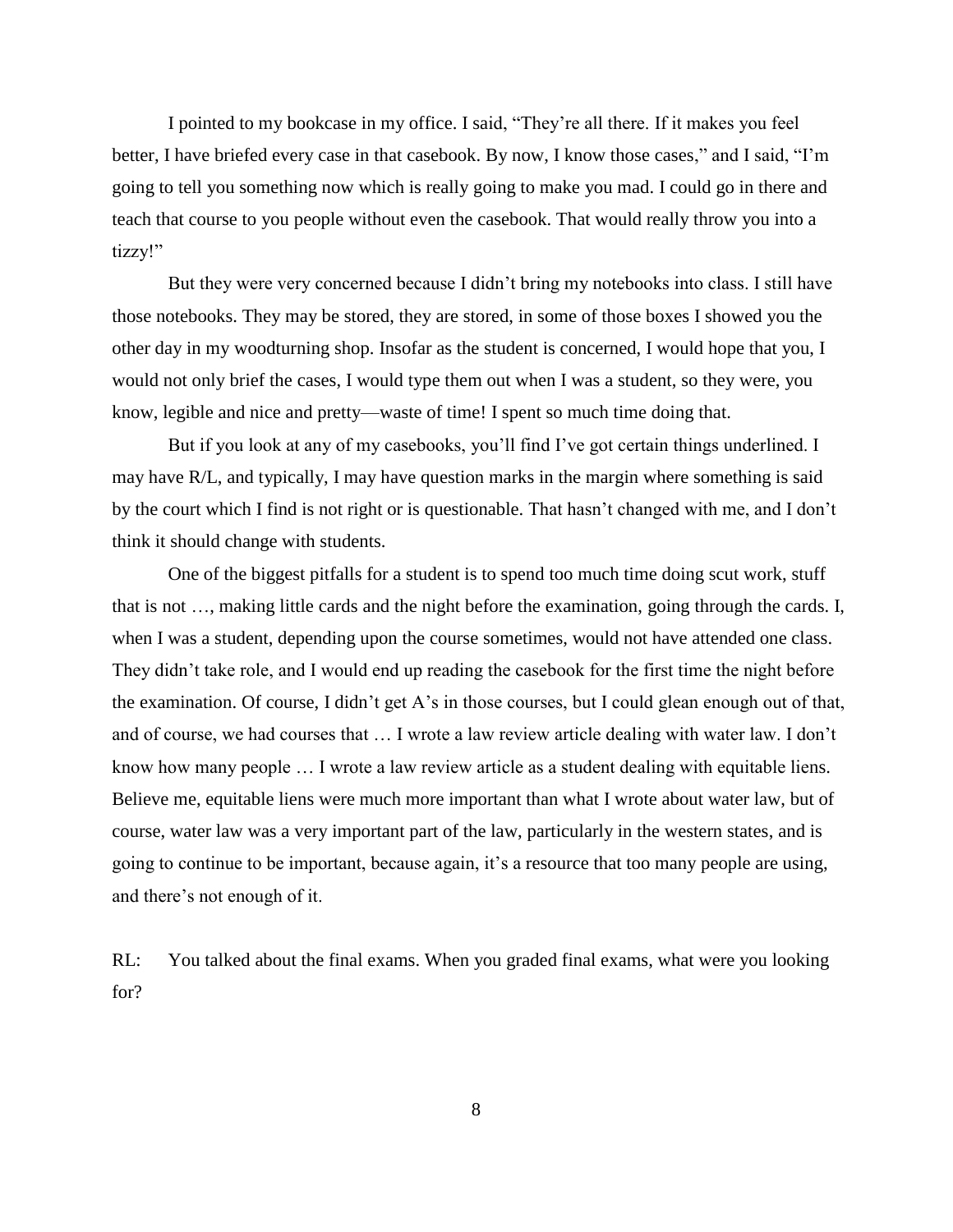I pointed to my bookcase in my office. I said, "They"re all there. If it makes you feel better, I have briefed every case in that casebook. By now, I know those cases," and I said, "I"m going to tell you something now which is really going to make you mad. I could go in there and teach that course to you people without even the casebook. That would really throw you into a tizzy!"

But they were very concerned because I didn"t bring my notebooks into class. I still have those notebooks. They may be stored, they are stored, in some of those boxes I showed you the other day in my woodturning shop. Insofar as the student is concerned, I would hope that you, I would not only brief the cases, I would type them out when I was a student, so they were, you know, legible and nice and pretty—waste of time! I spent so much time doing that.

But if you look at any of my casebooks, you'll find I've got certain things underlined. I may have R/L, and typically, I may have question marks in the margin where something is said by the court which I find is not right or is questionable. That hasn"t changed with me, and I don"t think it should change with students.

One of the biggest pitfalls for a student is to spend too much time doing scut work, stuff that is not …, making little cards and the night before the examination, going through the cards. I, when I was a student, depending upon the course sometimes, would not have attended one class. They didn"t take role, and I would end up reading the casebook for the first time the night before the examination. Of course, I didn"t get A"s in those courses, but I could glean enough out of that, and of course, we had courses that … I wrote a law review article dealing with water law. I don"t know how many people … I wrote a law review article as a student dealing with equitable liens. Believe me, equitable liens were much more important than what I wrote about water law, but of course, water law was a very important part of the law, particularly in the western states, and is going to continue to be important, because again, it"s a resource that too many people are using, and there"s not enough of it.

RL: You talked about the final exams. When you graded final exams, what were you looking for?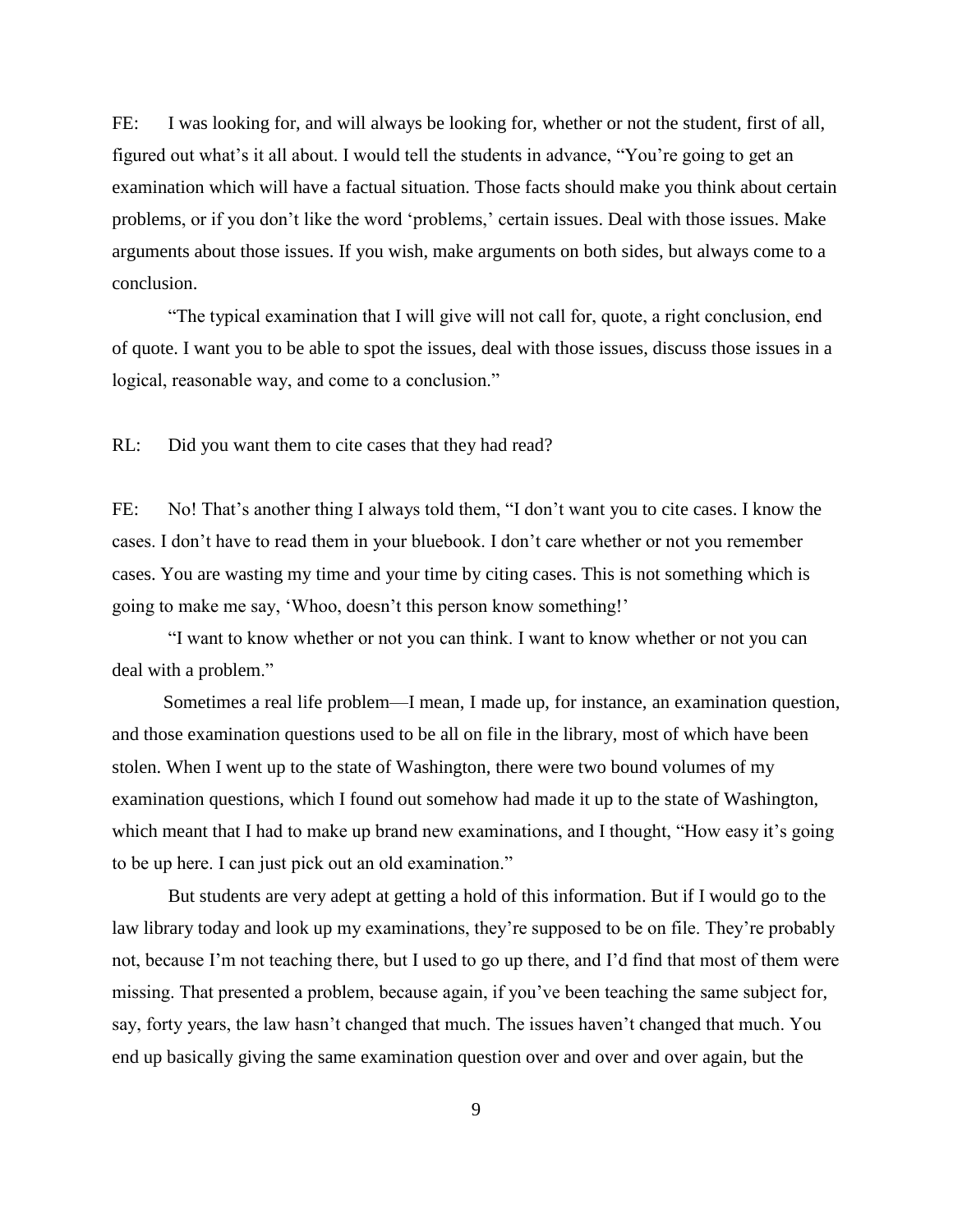FE: I was looking for, and will always be looking for, whether or not the student, first of all, figured out what"s it all about. I would tell the students in advance, "You"re going to get an examination which will have a factual situation. Those facts should make you think about certain problems, or if you don't like the word 'problems,' certain issues. Deal with those issues. Make arguments about those issues. If you wish, make arguments on both sides, but always come to a conclusion.

"The typical examination that I will give will not call for, quote, a right conclusion, end of quote. I want you to be able to spot the issues, deal with those issues, discuss those issues in a logical, reasonable way, and come to a conclusion."

RL: Did you want them to cite cases that they had read?

FE: No! That's another thing I always told them, "I don't want you to cite cases. I know the cases. I don"t have to read them in your bluebook. I don"t care whether or not you remember cases. You are wasting my time and your time by citing cases. This is not something which is going to make me say, "Whoo, doesn"t this person know something!"

"I want to know whether or not you can think. I want to know whether or not you can deal with a problem."

Sometimes a real life problem—I mean, I made up, for instance, an examination question, and those examination questions used to be all on file in the library, most of which have been stolen. When I went up to the state of Washington, there were two bound volumes of my examination questions, which I found out somehow had made it up to the state of Washington, which meant that I had to make up brand new examinations, and I thought, "How easy it's going to be up here. I can just pick out an old examination."

But students are very adept at getting a hold of this information. But if I would go to the law library today and look up my examinations, they"re supposed to be on file. They"re probably not, because I"m not teaching there, but I used to go up there, and I"d find that most of them were missing. That presented a problem, because again, if you"ve been teaching the same subject for, say, forty years, the law hasn"t changed that much. The issues haven"t changed that much. You end up basically giving the same examination question over and over and over again, but the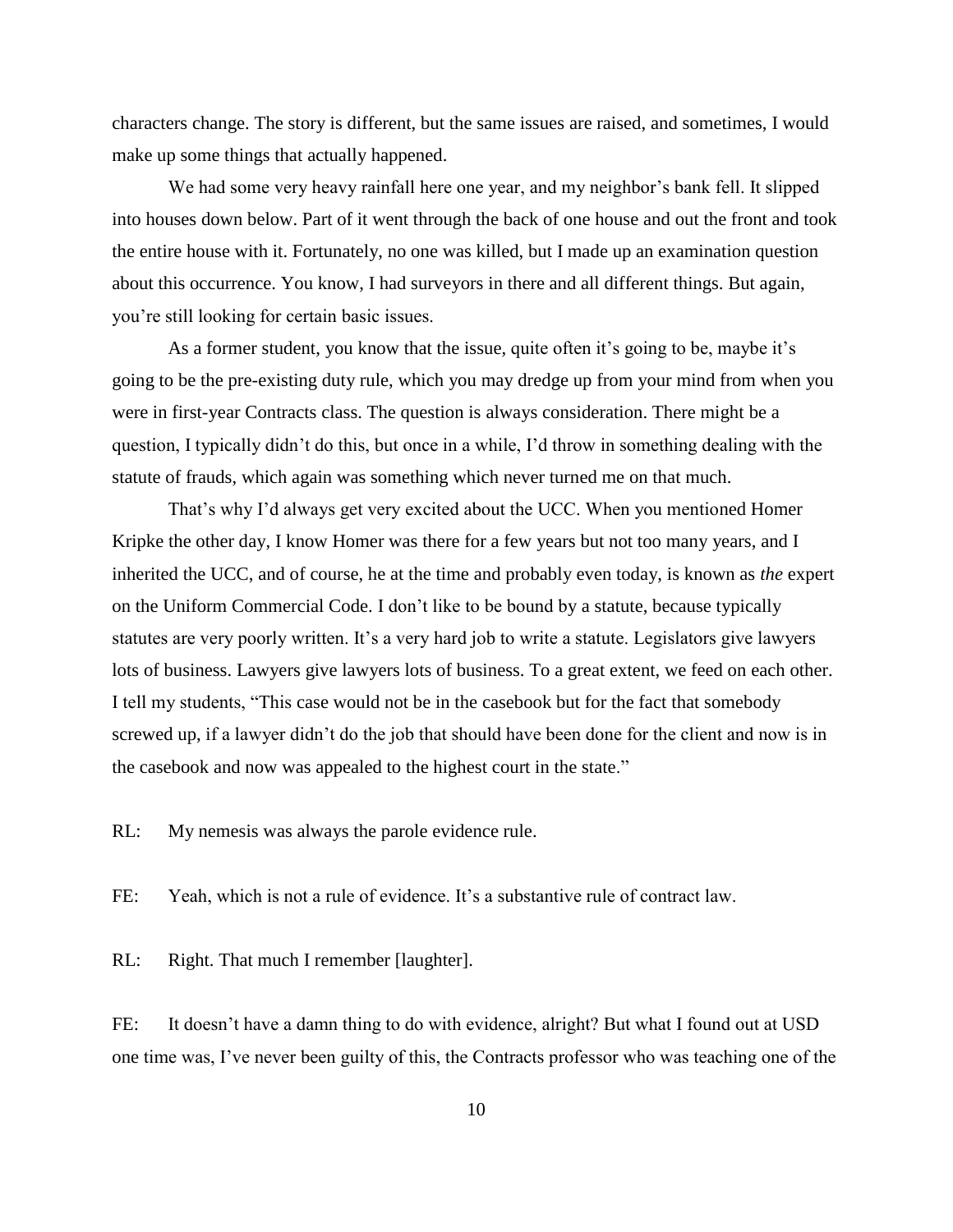characters change. The story is different, but the same issues are raised, and sometimes, I would make up some things that actually happened.

We had some very heavy rainfall here one year, and my neighbor's bank fell. It slipped into houses down below. Part of it went through the back of one house and out the front and took the entire house with it. Fortunately, no one was killed, but I made up an examination question about this occurrence. You know, I had surveyors in there and all different things. But again, you"re still looking for certain basic issues.

As a former student, you know that the issue, quite often it's going to be, maybe it's going to be the pre-existing duty rule, which you may dredge up from your mind from when you were in first-year Contracts class. The question is always consideration. There might be a question, I typically didn"t do this, but once in a while, I"d throw in something dealing with the statute of frauds, which again was something which never turned me on that much.

That's why I'd always get very excited about the UCC. When you mentioned Homer Kripke the other day, I know Homer was there for a few years but not too many years, and I inherited the UCC, and of course, he at the time and probably even today, is known as *the* expert on the Uniform Commercial Code. I don"t like to be bound by a statute, because typically statutes are very poorly written. It's a very hard job to write a statute. Legislators give lawyers lots of business. Lawyers give lawyers lots of business. To a great extent, we feed on each other. I tell my students, "This case would not be in the casebook but for the fact that somebody screwed up, if a lawyer didn't do the job that should have been done for the client and now is in the casebook and now was appealed to the highest court in the state."

RL: My nemesis was always the parole evidence rule.

FE: Yeah, which is not a rule of evidence. It's a substantive rule of contract law.

RL: Right. That much I remember [laughter].

FE: It doesn't have a damn thing to do with evidence, alright? But what I found out at USD one time was, I"ve never been guilty of this, the Contracts professor who was teaching one of the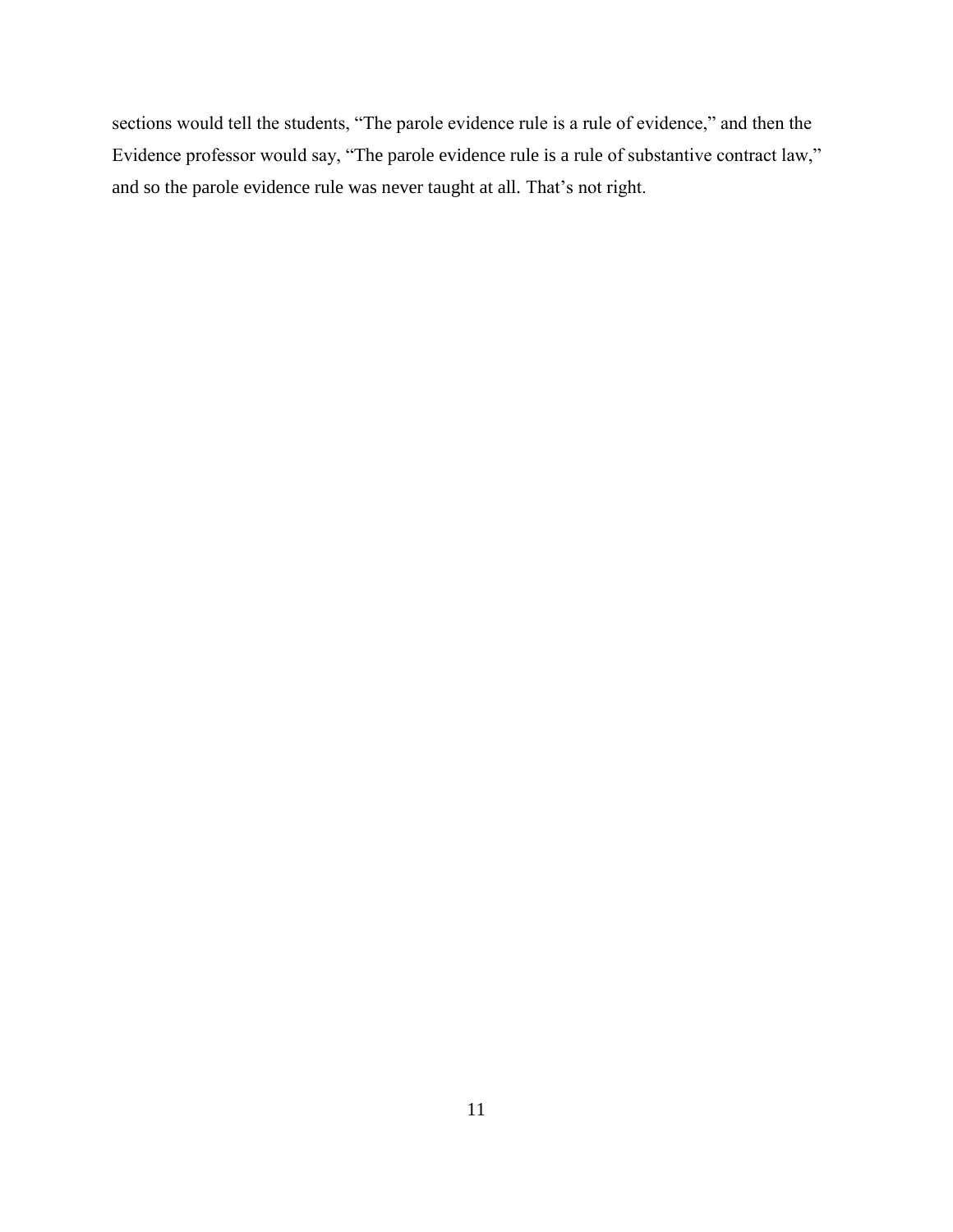sections would tell the students, "The parole evidence rule is a rule of evidence," and then the Evidence professor would say, "The parole evidence rule is a rule of substantive contract law," and so the parole evidence rule was never taught at all. That's not right.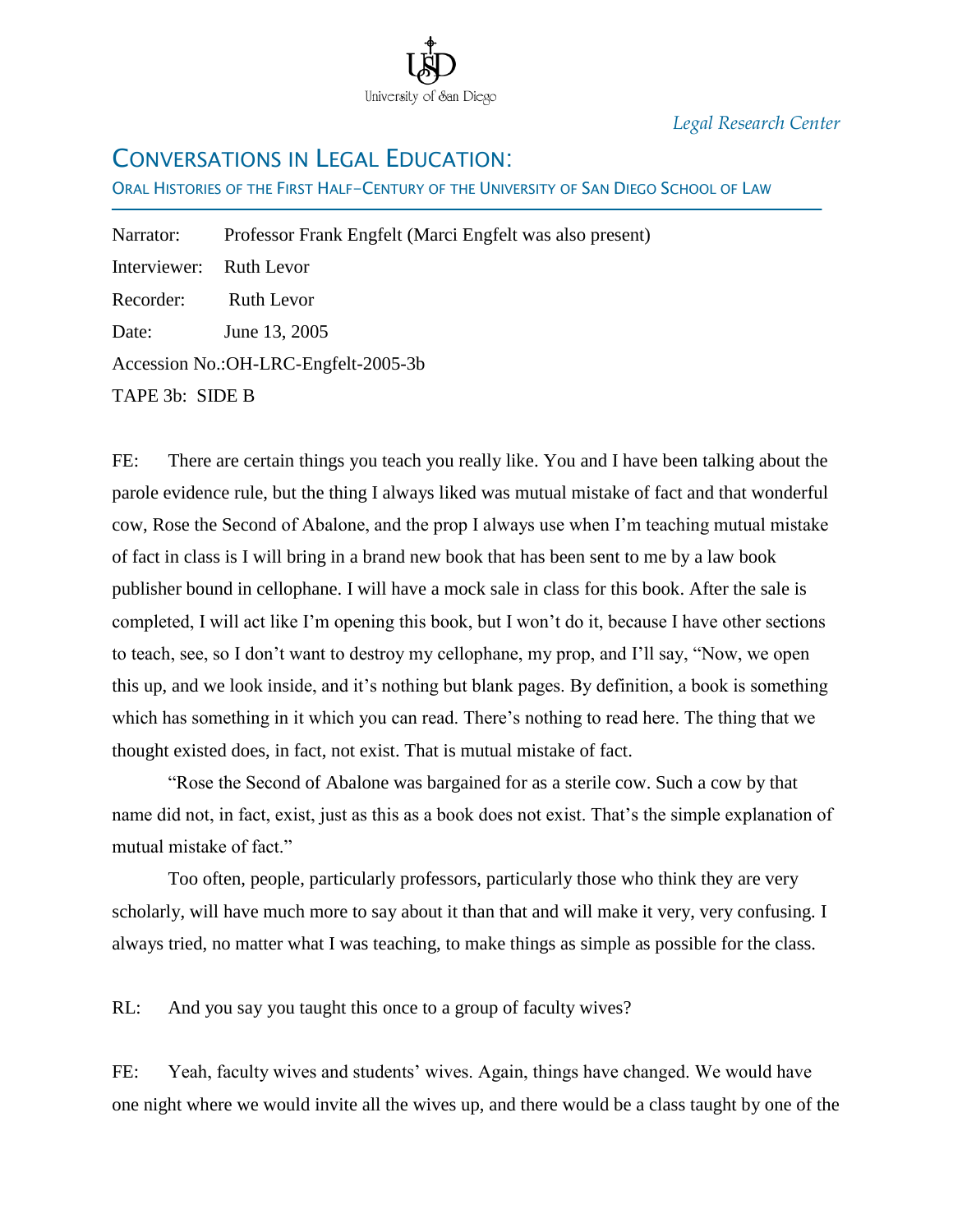

*Legal Research Center*

## CONVERSATIONS IN LEGAL EDUCATION:

ORAL HISTORIES OF THE FIRST HALF-CENTURY OF THE UNIVERSITY OF SAN DIEGO SCHOOL OF LAW

| Narrator:               | Professor Frank Engfelt (Marci Engfelt was also present) |
|-------------------------|----------------------------------------------------------|
| Interviewer: Ruth Levor |                                                          |
| Recorder: Ruth Levor    |                                                          |
| Date:                   | June 13, 2005                                            |
|                         | Accession No.: OH-LRC-Engfelt-2005-3b                    |
| TAPE 3b: SIDE B         |                                                          |

FE: There are certain things you teach you really like. You and I have been talking about the parole evidence rule, but the thing I always liked was mutual mistake of fact and that wonderful cow, Rose the Second of Abalone, and the prop I always use when I"m teaching mutual mistake of fact in class is I will bring in a brand new book that has been sent to me by a law book publisher bound in cellophane. I will have a mock sale in class for this book. After the sale is completed, I will act like I"m opening this book, but I won"t do it, because I have other sections to teach, see, so I don"t want to destroy my cellophane, my prop, and I"ll say, "Now, we open this up, and we look inside, and it"s nothing but blank pages. By definition, a book is something which has something in it which you can read. There's nothing to read here. The thing that we thought existed does, in fact, not exist. That is mutual mistake of fact.

"Rose the Second of Abalone was bargained for as a sterile cow. Such a cow by that name did not, in fact, exist, just as this as a book does not exist. That"s the simple explanation of mutual mistake of fact."

Too often, people, particularly professors, particularly those who think they are very scholarly, will have much more to say about it than that and will make it very, very confusing. I always tried, no matter what I was teaching, to make things as simple as possible for the class.

RL: And you say you taught this once to a group of faculty wives?

FE: Yeah, faculty wives and students" wives. Again, things have changed. We would have one night where we would invite all the wives up, and there would be a class taught by one of the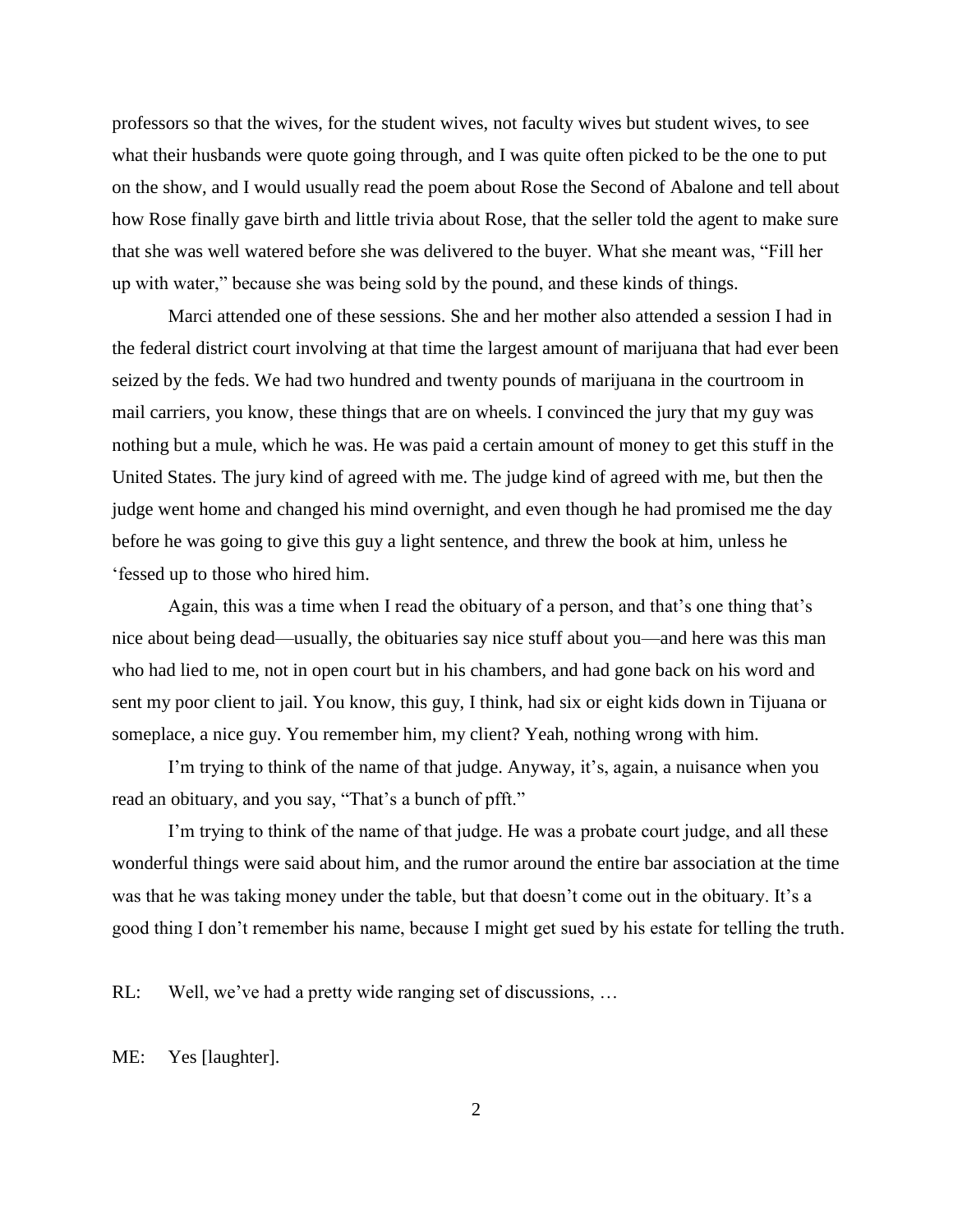professors so that the wives, for the student wives, not faculty wives but student wives, to see what their husbands were quote going through, and I was quite often picked to be the one to put on the show, and I would usually read the poem about Rose the Second of Abalone and tell about how Rose finally gave birth and little trivia about Rose, that the seller told the agent to make sure that she was well watered before she was delivered to the buyer. What she meant was, "Fill her up with water," because she was being sold by the pound, and these kinds of things.

Marci attended one of these sessions. She and her mother also attended a session I had in the federal district court involving at that time the largest amount of marijuana that had ever been seized by the feds. We had two hundred and twenty pounds of marijuana in the courtroom in mail carriers, you know, these things that are on wheels. I convinced the jury that my guy was nothing but a mule, which he was. He was paid a certain amount of money to get this stuff in the United States. The jury kind of agreed with me. The judge kind of agreed with me, but then the judge went home and changed his mind overnight, and even though he had promised me the day before he was going to give this guy a light sentence, and threw the book at him, unless he "fessed up to those who hired him.

Again, this was a time when I read the obituary of a person, and that's one thing that's nice about being dead—usually, the obituaries say nice stuff about you—and here was this man who had lied to me, not in open court but in his chambers, and had gone back on his word and sent my poor client to jail. You know, this guy, I think, had six or eight kids down in Tijuana or someplace, a nice guy. You remember him, my client? Yeah, nothing wrong with him.

I'm trying to think of the name of that judge. Anyway, it's, again, a nuisance when you read an obituary, and you say, "That's a bunch of pfft."

I'm trying to think of the name of that judge. He was a probate court judge, and all these wonderful things were said about him, and the rumor around the entire bar association at the time was that he was taking money under the table, but that doesn't come out in the obituary. It's a good thing I don"t remember his name, because I might get sued by his estate for telling the truth.

RL: Well, we've had a pretty wide ranging set of discussions, ...

ME: Yes [laughter].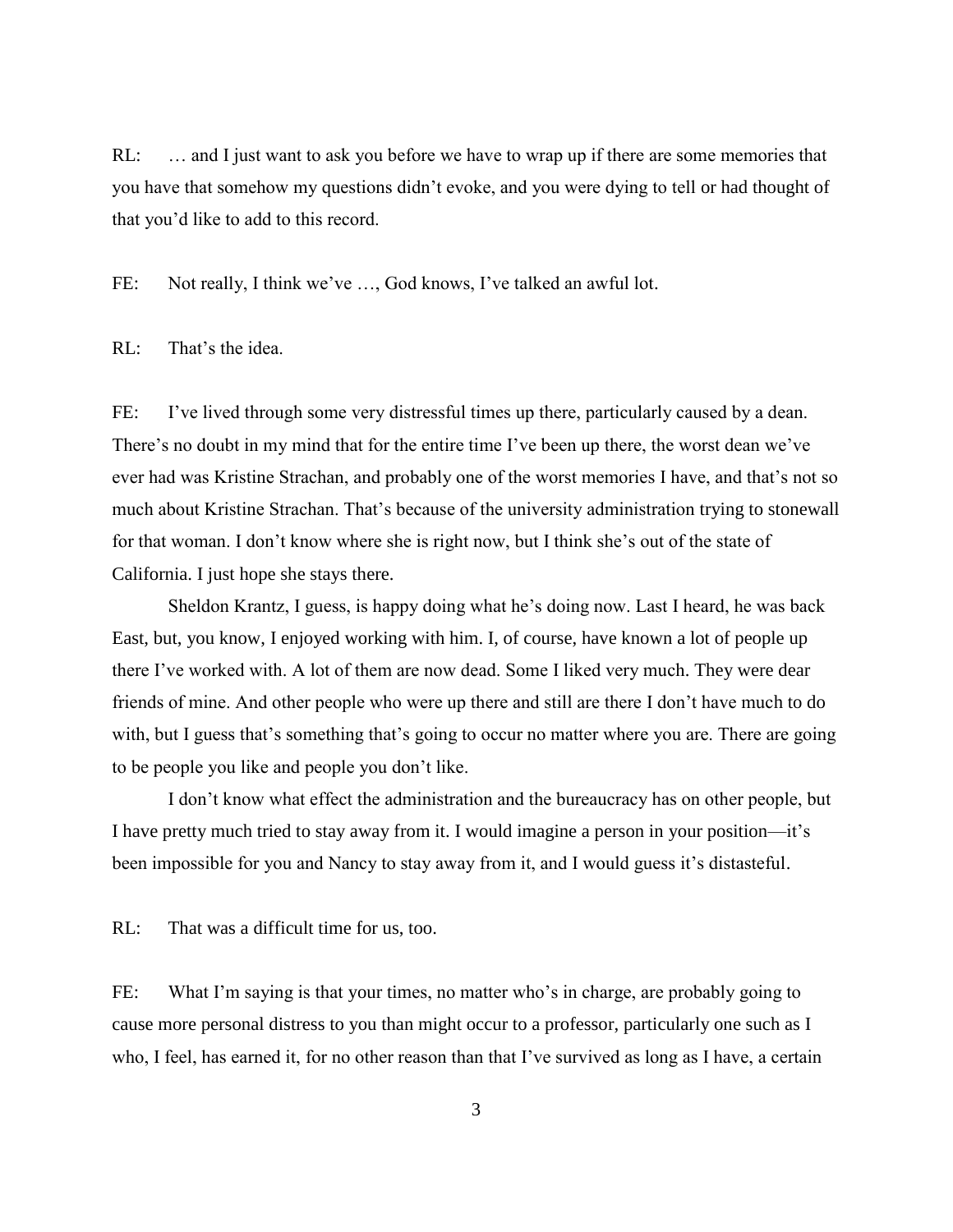RL: … and I just want to ask you before we have to wrap up if there are some memories that you have that somehow my questions didn"t evoke, and you were dying to tell or had thought of that you"d like to add to this record.

FE: Not really, I think we've ..., God knows, I've talked an awful lot.

RL: That's the idea.

FE: I've lived through some very distressful times up there, particularly caused by a dean. There's no doubt in my mind that for the entire time I've been up there, the worst dean we've ever had was Kristine Strachan, and probably one of the worst memories I have, and that's not so much about Kristine Strachan. That"s because of the university administration trying to stonewall for that woman. I don"t know where she is right now, but I think she"s out of the state of California. I just hope she stays there.

Sheldon Krantz, I guess, is happy doing what he's doing now. Last I heard, he was back East, but, you know, I enjoyed working with him. I, of course, have known a lot of people up there I"ve worked with. A lot of them are now dead. Some I liked very much. They were dear friends of mine. And other people who were up there and still are there I don"t have much to do with, but I guess that's something that's going to occur no matter where you are. There are going to be people you like and people you don"t like.

I don"t know what effect the administration and the bureaucracy has on other people, but I have pretty much tried to stay away from it. I would imagine a person in your position—it"s been impossible for you and Nancy to stay away from it, and I would guess it's distasteful.

RL: That was a difficult time for us, too.

FE: What I'm saying is that your times, no matter who's in charge, are probably going to cause more personal distress to you than might occur to a professor, particularly one such as I who, I feel, has earned it, for no other reason than that I've survived as long as I have, a certain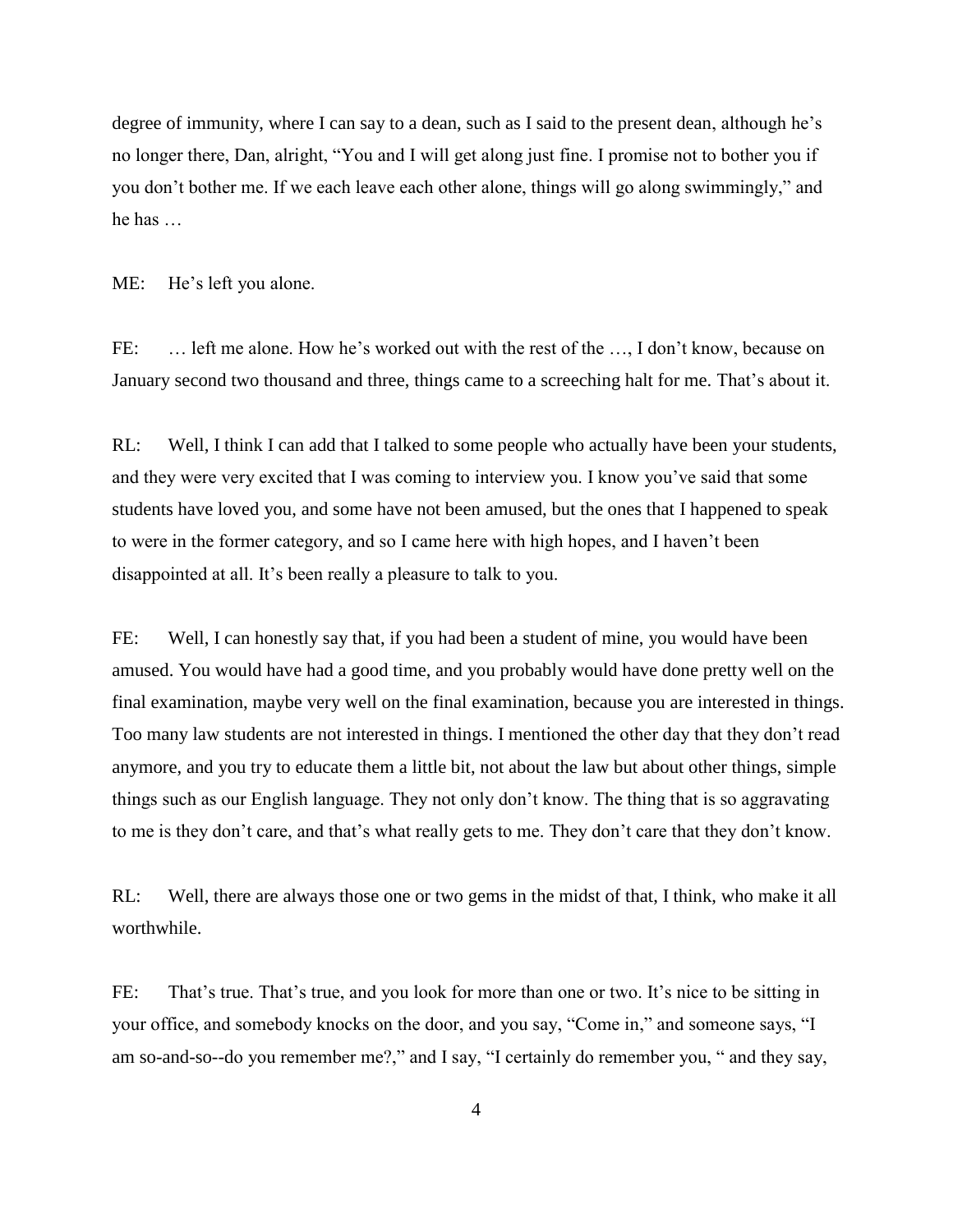degree of immunity, where I can say to a dean, such as I said to the present dean, although he's no longer there, Dan, alright, "You and I will get along just fine. I promise not to bother you if you don"t bother me. If we each leave each other alone, things will go along swimmingly," and he has …

ME: He's left you alone.

FE: ... left me alone. How he's worked out with the rest of the ..., I don't know, because on January second two thousand and three, things came to a screeching halt for me. That's about it.

RL: Well, I think I can add that I talked to some people who actually have been your students, and they were very excited that I was coming to interview you. I know you"ve said that some students have loved you, and some have not been amused, but the ones that I happened to speak to were in the former category, and so I came here with high hopes, and I haven"t been disappointed at all. It's been really a pleasure to talk to you.

FE: Well, I can honestly say that, if you had been a student of mine, you would have been amused. You would have had a good time, and you probably would have done pretty well on the final examination, maybe very well on the final examination, because you are interested in things. Too many law students are not interested in things. I mentioned the other day that they don"t read anymore, and you try to educate them a little bit, not about the law but about other things, simple things such as our English language. They not only don"t know. The thing that is so aggravating to me is they don't care, and that's what really gets to me. They don't care that they don't know.

RL: Well, there are always those one or two gems in the midst of that, I think, who make it all worthwhile.

FE: That's true. That's true, and you look for more than one or two. It's nice to be sitting in your office, and somebody knocks on the door, and you say, "Come in," and someone says, "I am so-and-so--do you remember me?," and I say, "I certainly do remember you, " and they say,